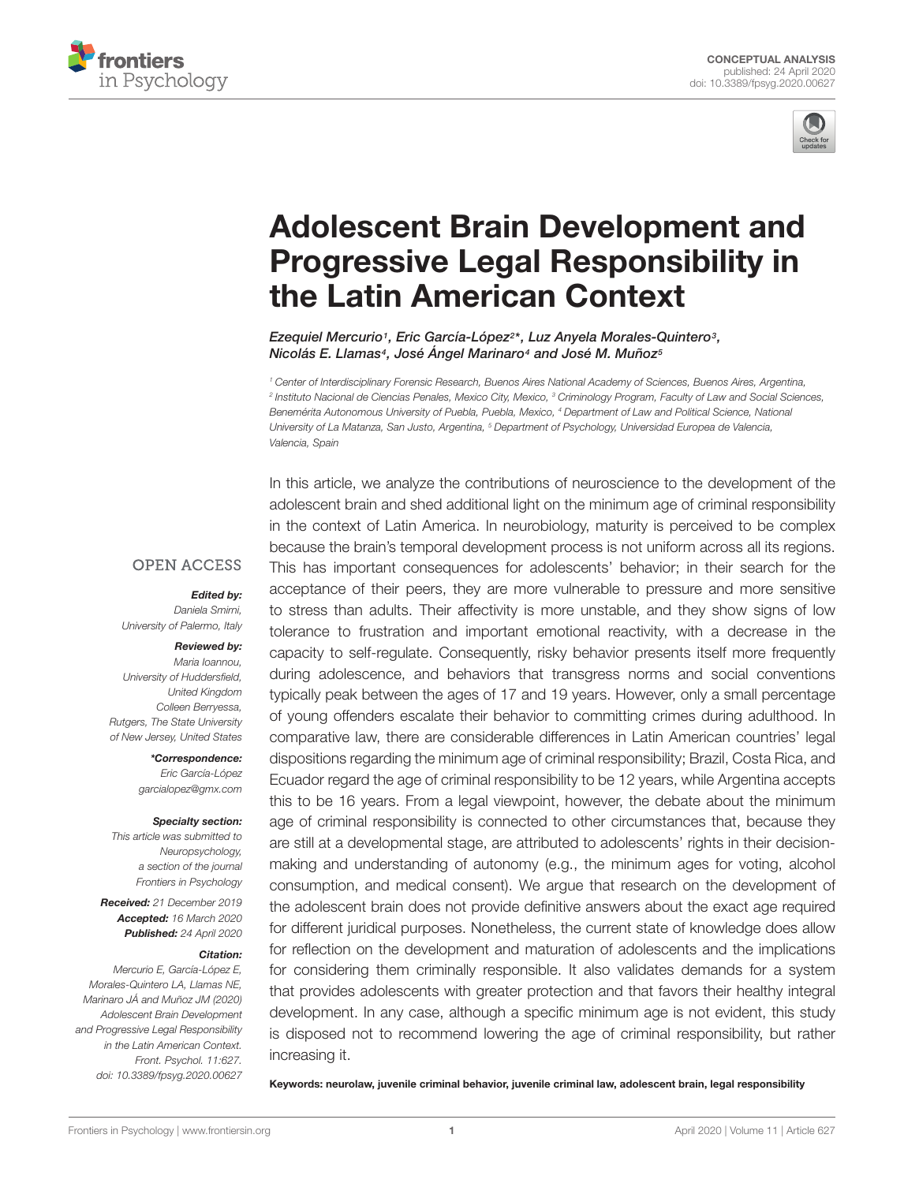



# Adolescent Brain Development and [Progressive Legal Responsibility in](https://www.frontiersin.org/articles/10.3389/fpsyg.2020.00627/full) the Latin American Context

[Ezequiel Mercurio](http://loop.frontiersin.org/people/572592/overview)1, [Eric García-López](http://loop.frontiersin.org/people/581851/overview) $^{2*}$ , [Luz Anyela Morales-Quintero](http://loop.frontiersin.org/people/847227/overview)3, [Nicolás E. Llamas](http://loop.frontiersin.org/people/556099/overview)<sup>4</sup>, José Angel Marinaro<sup>4</sup> and [José M. Muñoz](http://loop.frontiersin.org/people/391751/overview)<sup>5</sup>

<sup>1</sup> Center of Interdisciplinary Forensic Research, Buenos Aires National Academy of Sciences, Buenos Aires, Argentina, <sup>2</sup> Instituto Nacional de Ciencias Penales, Mexico City, Mexico, <sup>3</sup> Criminology Program, Faculty of Law and Social Sciences, Benemérita Autonomous University of Puebla, Puebla, Mexico, <sup>4</sup> Department of Law and Political Science, National University of La Matanza, San Justo, Argentina, <sup>5</sup> Department of Psychology, Universidad Europea de Valencia, Valencia, Spain

### **OPEN ACCESS**

#### Edited by:

Daniela Smirni, University of Palermo, Italy

#### Reviewed by:

Maria Ioannou, University of Huddersfield, United Kingdom Colleen Berryessa, Rutgers, The State University of New Jersey, United States

> \*Correspondence: Eric García-López garcialopez@gmx.com

#### Specialty section:

This article was submitted to Neuropsychology, a section of the journal Frontiers in Psychology

Received: 21 December 2019 Accepted: 16 March 2020 Published: 24 April 2020

#### Citation:

Mercurio E, García-López E, Morales-Quintero LA, Llamas NE, Marinaro JÁ and Muñoz JM (2020) Adolescent Brain Development and Progressive Legal Responsibility in the Latin American Context. Front. Psychol. 11:627. doi: [10.3389/fpsyg.2020.00627](https://doi.org/10.3389/fpsyg.2020.00627)

In this article, we analyze the contributions of neuroscience to the development of the adolescent brain and shed additional light on the minimum age of criminal responsibility in the context of Latin America. In neurobiology, maturity is perceived to be complex because the brain's temporal development process is not uniform across all its regions. This has important consequences for adolescents' behavior; in their search for the acceptance of their peers, they are more vulnerable to pressure and more sensitive to stress than adults. Their affectivity is more unstable, and they show signs of low tolerance to frustration and important emotional reactivity, with a decrease in the capacity to self-regulate. Consequently, risky behavior presents itself more frequently during adolescence, and behaviors that transgress norms and social conventions typically peak between the ages of 17 and 19 years. However, only a small percentage of young offenders escalate their behavior to committing crimes during adulthood. In comparative law, there are considerable differences in Latin American countries' legal dispositions regarding the minimum age of criminal responsibility; Brazil, Costa Rica, and Ecuador regard the age of criminal responsibility to be 12 years, while Argentina accepts this to be 16 years. From a legal viewpoint, however, the debate about the minimum age of criminal responsibility is connected to other circumstances that, because they are still at a developmental stage, are attributed to adolescents' rights in their decisionmaking and understanding of autonomy (e.g., the minimum ages for voting, alcohol consumption, and medical consent). We argue that research on the development of the adolescent brain does not provide definitive answers about the exact age required for different juridical purposes. Nonetheless, the current state of knowledge does allow for reflection on the development and maturation of adolescents and the implications for considering them criminally responsible. It also validates demands for a system that provides adolescents with greater protection and that favors their healthy integral development. In any case, although a specific minimum age is not evident, this study is disposed not to recommend lowering the age of criminal responsibility, but rather increasing it.

Keywords: neurolaw, juvenile criminal behavior, juvenile criminal law, adolescent brain, legal responsibility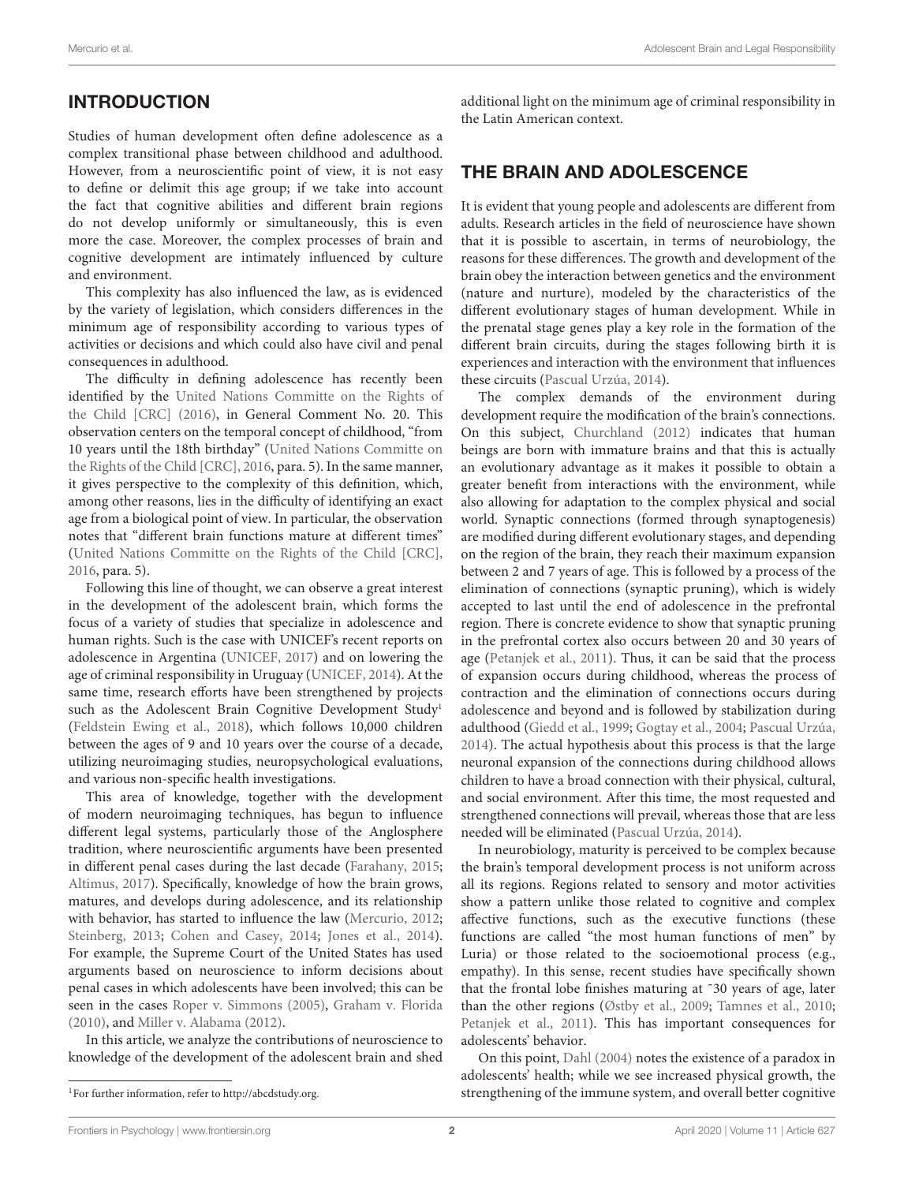# **INTRODUCTION**

Studies of human development often define adolescence as a complex transitional phase between childhood and adulthood. However, from a neuroscientific point of view, it is not easy to define or delimit this age group; if we take into account the fact that cognitive abilities and different brain regions do not develop uniformly or simultaneously, this is even more the case. Moreover, the complex processes of brain and cognitive development are intimately influenced by culture and environment.

This complexity has also influenced the law, as is evidenced by the variety of legislation, which considers differences in the minimum age of responsibility according to various types of activities or decisions and which could also have civil and penal consequences in adulthood.

The difficulty in defining adolescence has recently been identified by the [United Nations Committe on the Rights of](#page-11-0) [the Child \[CRC\]](#page-11-0) [\(2016\)](#page-11-0), in General Comment No. 20. This observation centers on the temporal concept of childhood, "from 10 years until the 18th birthday" [\(United Nations Committe on](#page-11-0) [the Rights of the Child \[CRC\],](#page-11-0) [2016,](#page-11-0) para. 5). In the same manner, it gives perspective to the complexity of this definition, which, among other reasons, lies in the difficulty of identifying an exact age from a biological point of view. In particular, the observation notes that "different brain functions mature at different times" [\(United Nations Committe on the Rights of the Child \[CRC\],](#page-11-0) [2016,](#page-11-0) para. 5).

Following this line of thought, we can observe a great interest in the development of the adolescent brain, which forms the focus of a variety of studies that specialize in adolescence and human rights. Such is the case with UNICEF's recent reports on adolescence in Argentina [\(UNICEF,](#page-11-1) [2017\)](#page-11-1) and on lowering the age of criminal responsibility in Uruguay [\(UNICEF,](#page-11-2) [2014\)](#page-11-2). At the same time, research efforts have been strengthened by projects such as the Adolescent Brain Cognitive Development Study<sup>[1](#page-1-0)</sup> [\(Feldstein Ewing et al.,](#page-10-0) [2018\)](#page-10-0), which follows 10,000 children between the ages of 9 and 10 years over the course of a decade, utilizing neuroimaging studies, neuropsychological evaluations, and various non-specific health investigations.

This area of knowledge, together with the development of modern neuroimaging techniques, has begun to influence different legal systems, particularly those of the Anglosphere tradition, where neuroscientific arguments have been presented in different penal cases during the last decade [\(Farahany,](#page-10-1) [2015;](#page-10-1) [Altimus,](#page-9-0) [2017\)](#page-9-0). Specifically, knowledge of how the brain grows, matures, and develops during adolescence, and its relationship with behavior, has started to influence the law [\(Mercurio,](#page-11-3) [2012;](#page-11-3) [Steinberg,](#page-11-4) [2013;](#page-11-4) [Cohen and Casey,](#page-10-2) [2014;](#page-10-2) [Jones et al.,](#page-10-3) [2014\)](#page-10-3). For example, the Supreme Court of the United States has used arguments based on neuroscience to inform decisions about penal cases in which adolescents have been involved; this can be seen in the cases [Roper v. Simmons](#page-11-5) [\(2005\)](#page-11-5), [Graham v. Florida](#page-10-4) [\(2010\)](#page-10-4), and [Miller v. Alabama](#page-11-6) [\(2012\)](#page-11-6).

In this article, we analyze the contributions of neuroscience to knowledge of the development of the adolescent brain and shed additional light on the minimum age of criminal responsibility in the Latin American context.

# THE BRAIN AND ADOLESCENCE

It is evident that young people and adolescents are different from adults. Research articles in the field of neuroscience have shown that it is possible to ascertain, in terms of neurobiology, the reasons for these differences. The growth and development of the brain obey the interaction between genetics and the environment (nature and nurture), modeled by the characteristics of the different evolutionary stages of human development. While in the prenatal stage genes play a key role in the formation of the different brain circuits, during the stages following birth it is experiences and interaction with the environment that influences these circuits [\(Pascual Urzúa,](#page-11-7) [2014\)](#page-11-7).

The complex demands of the environment during development require the modification of the brain's connections. On this subject, [Churchland](#page-10-5) [\(2012\)](#page-10-5) indicates that human beings are born with immature brains and that this is actually an evolutionary advantage as it makes it possible to obtain a greater benefit from interactions with the environment, while also allowing for adaptation to the complex physical and social world. Synaptic connections (formed through synaptogenesis) are modified during different evolutionary stages, and depending on the region of the brain, they reach their maximum expansion between 2 and 7 years of age. This is followed by a process of the elimination of connections (synaptic pruning), which is widely accepted to last until the end of adolescence in the prefrontal region. There is concrete evidence to show that synaptic pruning in the prefrontal cortex also occurs between 20 and 30 years of age [\(Petanjek et al.,](#page-11-8) [2011\)](#page-11-8). Thus, it can be said that the process of expansion occurs during childhood, whereas the process of contraction and the elimination of connections occurs during adolescence and beyond and is followed by stabilization during adulthood [\(Giedd et al.,](#page-10-6) [1999;](#page-10-6) [Gogtay et al.,](#page-10-7) [2004;](#page-10-7) [Pascual Urzúa,](#page-11-7) [2014\)](#page-11-7). The actual hypothesis about this process is that the large neuronal expansion of the connections during childhood allows children to have a broad connection with their physical, cultural, and social environment. After this time, the most requested and strengthened connections will prevail, whereas those that are less needed will be eliminated [\(Pascual Urzúa,](#page-11-7) [2014\)](#page-11-7).

In neurobiology, maturity is perceived to be complex because the brain's temporal development process is not uniform across all its regions. Regions related to sensory and motor activities show a pattern unlike those related to cognitive and complex affective functions, such as the executive functions (these functions are called "the most human functions of men" by Luria) or those related to the socioemotional process (e.g., empathy). In this sense, recent studies have specifically shown that the frontal lobe finishes maturing at ˜30 years of age, later than the other regions [\(Østby et al.,](#page-11-9) [2009;](#page-11-9) [Tamnes et al.,](#page-11-10) [2010;](#page-11-10) [Petanjek et al.,](#page-11-8) [2011\)](#page-11-8). This has important consequences for adolescents' behavior.

On this point, [Dahl](#page-10-8) [\(2004\)](#page-10-8) notes the existence of a paradox in adolescents' health; while we see increased physical growth, the strengthening of the immune system, and overall better cognitive

<span id="page-1-0"></span><sup>1</sup>For further information, refer to [http://abcdstudy.org.](http://abcdstudy.org)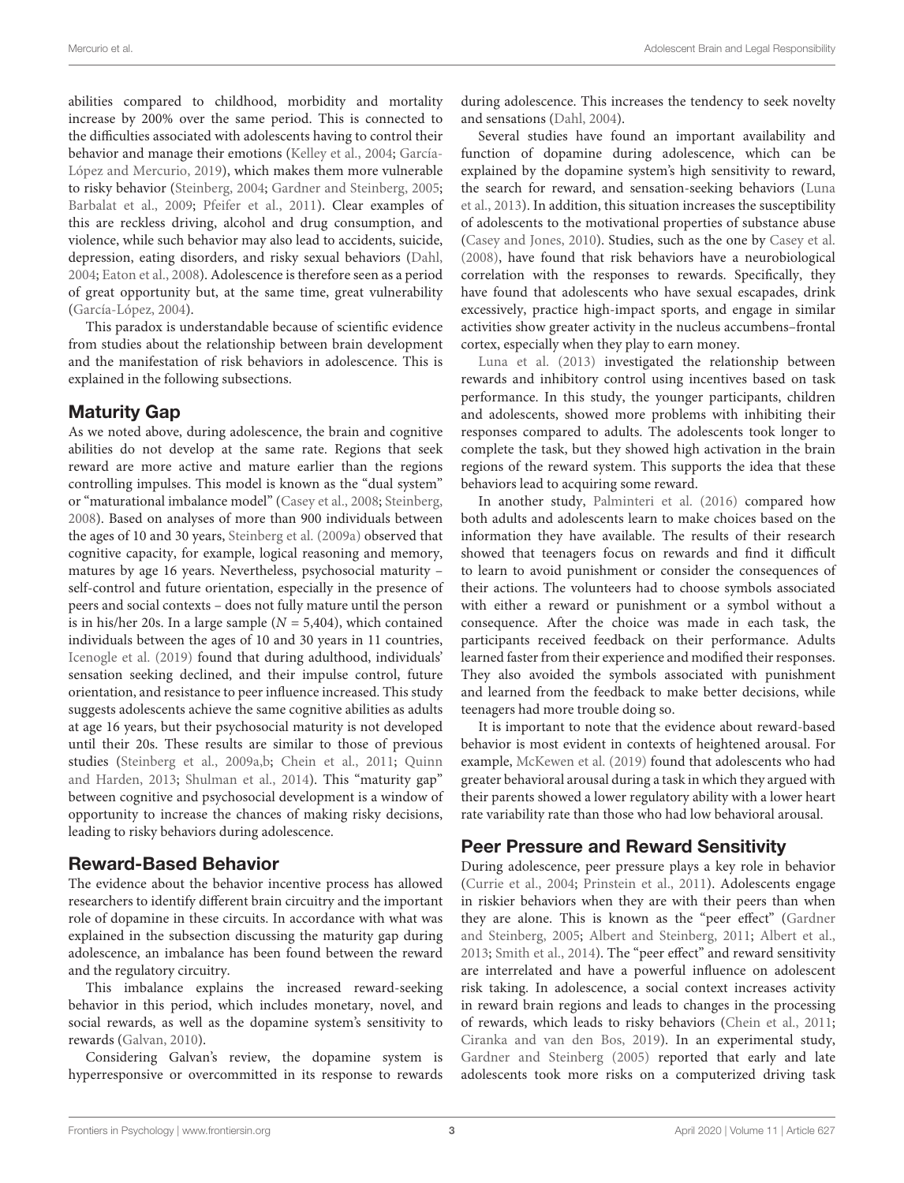abilities compared to childhood, morbidity and mortality increase by 200% over the same period. This is connected to the difficulties associated with adolescents having to control their behavior and manage their emotions [\(Kelley et al.,](#page-10-9) [2004;](#page-10-9) [García-](#page-10-10)[López and Mercurio,](#page-10-10) [2019\)](#page-10-10), which makes them more vulnerable to risky behavior [\(Steinberg,](#page-11-11) [2004;](#page-11-11) [Gardner and Steinberg,](#page-10-11) [2005;](#page-10-11) [Barbalat et al.,](#page-9-1) [2009;](#page-9-1) [Pfeifer et al.,](#page-11-12) [2011\)](#page-11-12). Clear examples of this are reckless driving, alcohol and drug consumption, and violence, while such behavior may also lead to accidents, suicide, depression, eating disorders, and risky sexual behaviors [\(Dahl,](#page-10-8) [2004;](#page-10-8) [Eaton et al.,](#page-10-12) [2008\)](#page-10-12). Adolescence is therefore seen as a period of great opportunity but, at the same time, great vulnerability [\(García-López,](#page-10-13) [2004\)](#page-10-13).

This paradox is understandable because of scientific evidence from studies about the relationship between brain development and the manifestation of risk behaviors in adolescence. This is explained in the following subsections.

## Maturity Gap

As we noted above, during adolescence, the brain and cognitive abilities do not develop at the same rate. Regions that seek reward are more active and mature earlier than the regions controlling impulses. This model is known as the "dual system" or "maturational imbalance model" [\(Casey et al.,](#page-9-2) [2008;](#page-9-2) [Steinberg,](#page-11-13) [2008\)](#page-11-13). Based on analyses of more than 900 individuals between the ages of 10 and 30 years, [Steinberg et al.](#page-11-14) [\(2009a\)](#page-11-14) observed that cognitive capacity, for example, logical reasoning and memory, matures by age 16 years. Nevertheless, psychosocial maturity – self-control and future orientation, especially in the presence of peers and social contexts – does not fully mature until the person is in his/her 20s. In a large sample  $(N = 5,404)$ , which contained individuals between the ages of 10 and 30 years in 11 countries, [Icenogle et al.](#page-10-14) [\(2019\)](#page-10-14) found that during adulthood, individuals' sensation seeking declined, and their impulse control, future orientation, and resistance to peer influence increased. This study suggests adolescents achieve the same cognitive abilities as adults at age 16 years, but their psychosocial maturity is not developed until their 20s. These results are similar to those of previous studies [\(Steinberg et al.,](#page-11-14) [2009a](#page-11-14)[,b;](#page-11-15) [Chein et al.,](#page-10-15) [2011;](#page-10-15) [Quinn](#page-11-16) [and Harden,](#page-11-16) [2013;](#page-11-16) [Shulman et al.,](#page-11-17) [2014\)](#page-11-17). This "maturity gap" between cognitive and psychosocial development is a window of opportunity to increase the chances of making risky decisions, leading to risky behaviors during adolescence.

## Reward-Based Behavior

The evidence about the behavior incentive process has allowed researchers to identify different brain circuitry and the important role of dopamine in these circuits. In accordance with what was explained in the subsection discussing the maturity gap during adolescence, an imbalance has been found between the reward and the regulatory circuitry.

This imbalance explains the increased reward-seeking behavior in this period, which includes monetary, novel, and social rewards, as well as the dopamine system's sensitivity to rewards [\(Galvan,](#page-10-16) [2010\)](#page-10-16).

Considering Galvan's review, the dopamine system is hyperresponsive or overcommitted in its response to rewards during adolescence. This increases the tendency to seek novelty and sensations [\(Dahl,](#page-10-8) [2004\)](#page-10-8).

Several studies have found an important availability and function of dopamine during adolescence, which can be explained by the dopamine system's high sensitivity to reward, the search for reward, and sensation-seeking behaviors [\(Luna](#page-10-17) [et al.,](#page-10-17) [2013\)](#page-10-17). In addition, this situation increases the susceptibility of adolescents to the motivational properties of substance abuse [\(Casey and Jones,](#page-10-18) [2010\)](#page-10-18). Studies, such as the one by [Casey et al.](#page-9-2) [\(2008\)](#page-9-2), have found that risk behaviors have a neurobiological correlation with the responses to rewards. Specifically, they have found that adolescents who have sexual escapades, drink excessively, practice high-impact sports, and engage in similar activities show greater activity in the nucleus accumbens–frontal cortex, especially when they play to earn money.

[Luna et al.](#page-10-17) [\(2013\)](#page-10-17) investigated the relationship between rewards and inhibitory control using incentives based on task performance. In this study, the younger participants, children and adolescents, showed more problems with inhibiting their responses compared to adults. The adolescents took longer to complete the task, but they showed high activation in the brain regions of the reward system. This supports the idea that these behaviors lead to acquiring some reward.

In another study, [Palminteri et al.](#page-11-18) [\(2016\)](#page-11-18) compared how both adults and adolescents learn to make choices based on the information they have available. The results of their research showed that teenagers focus on rewards and find it difficult to learn to avoid punishment or consider the consequences of their actions. The volunteers had to choose symbols associated with either a reward or punishment or a symbol without a consequence. After the choice was made in each task, the participants received feedback on their performance. Adults learned faster from their experience and modified their responses. They also avoided the symbols associated with punishment and learned from the feedback to make better decisions, while teenagers had more trouble doing so.

It is important to note that the evidence about reward-based behavior is most evident in contexts of heightened arousal. For example, [McKewen et al.](#page-11-19) [\(2019\)](#page-11-19) found that adolescents who had greater behavioral arousal during a task in which they argued with their parents showed a lower regulatory ability with a lower heart rate variability rate than those who had low behavioral arousal.

# Peer Pressure and Reward Sensitivity

During adolescence, peer pressure plays a key role in behavior [\(Currie et al.,](#page-10-19) [2004;](#page-10-19) [Prinstein et al.,](#page-11-20) [2011\)](#page-11-20). Adolescents engage in riskier behaviors when they are with their peers than when they are alone. This is known as the "peer effect" [\(Gardner](#page-10-11) [and Steinberg,](#page-10-11) [2005;](#page-10-11) [Albert and Steinberg,](#page-9-3) [2011;](#page-9-3) [Albert et al.,](#page-9-4) [2013;](#page-9-4) [Smith et al.,](#page-11-21) [2014\)](#page-11-21). The "peer effect" and reward sensitivity are interrelated and have a powerful influence on adolescent risk taking. In adolescence, a social context increases activity in reward brain regions and leads to changes in the processing of rewards, which leads to risky behaviors [\(Chein et al.,](#page-10-15) [2011;](#page-10-15) [Ciranka and van den Bos,](#page-10-20) [2019\)](#page-10-20). In an experimental study, [Gardner and Steinberg](#page-10-11) [\(2005\)](#page-10-11) reported that early and late adolescents took more risks on a computerized driving task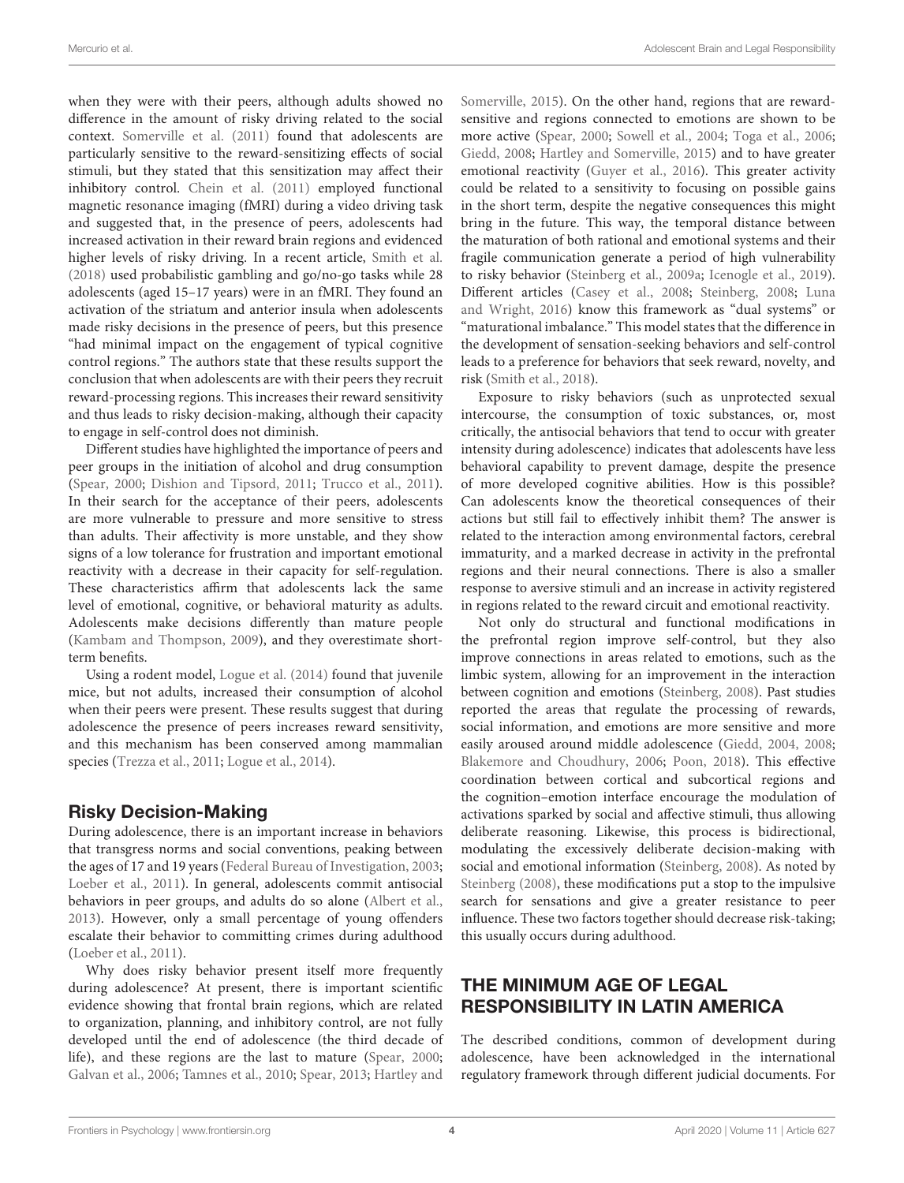when they were with their peers, although adults showed no difference in the amount of risky driving related to the social context. [Somerville et al.](#page-11-22) [\(2011\)](#page-11-22) found that adolescents are particularly sensitive to the reward-sensitizing effects of social stimuli, but they stated that this sensitization may affect their inhibitory control. [Chein et al.](#page-10-15) [\(2011\)](#page-10-15) employed functional magnetic resonance imaging (fMRI) during a video driving task and suggested that, in the presence of peers, adolescents had increased activation in their reward brain regions and evidenced higher levels of risky driving. In a recent article, [Smith et al.](#page-11-23) [\(2018\)](#page-11-23) used probabilistic gambling and go/no-go tasks while 28 adolescents (aged 15–17 years) were in an fMRI. They found an activation of the striatum and anterior insula when adolescents made risky decisions in the presence of peers, but this presence "had minimal impact on the engagement of typical cognitive control regions." The authors state that these results support the conclusion that when adolescents are with their peers they recruit reward-processing regions. This increases their reward sensitivity and thus leads to risky decision-making, although their capacity to engage in self-control does not diminish.

Different studies have highlighted the importance of peers and peer groups in the initiation of alcohol and drug consumption [\(Spear,](#page-11-24) [2000;](#page-11-24) [Dishion and Tipsord,](#page-10-21) [2011;](#page-10-21) [Trucco et al.,](#page-11-25) [2011\)](#page-11-25). In their search for the acceptance of their peers, adolescents are more vulnerable to pressure and more sensitive to stress than adults. Their affectivity is more unstable, and they show signs of a low tolerance for frustration and important emotional reactivity with a decrease in their capacity for self-regulation. These characteristics affirm that adolescents lack the same level of emotional, cognitive, or behavioral maturity as adults. Adolescents make decisions differently than mature people [\(Kambam and Thompson,](#page-10-22) [2009\)](#page-10-22), and they overestimate shortterm benefits.

Using a rodent model, [Logue et al.](#page-10-23) [\(2014\)](#page-10-23) found that juvenile mice, but not adults, increased their consumption of alcohol when their peers were present. These results suggest that during adolescence the presence of peers increases reward sensitivity, and this mechanism has been conserved among mammalian species [\(Trezza et al.,](#page-11-26) [2011;](#page-11-26) [Logue et al.,](#page-10-23) [2014\)](#page-10-23).

# Risky Decision-Making

During adolescence, there is an important increase in behaviors that transgress norms and social conventions, peaking between the ages of 17 and 19 years [\(Federal Bureau of Investigation,](#page-10-24) [2003;](#page-10-24) [Loeber et al.,](#page-10-25) [2011\)](#page-10-25). In general, adolescents commit antisocial behaviors in peer groups, and adults do so alone [\(Albert et al.,](#page-9-4) [2013\)](#page-9-4). However, only a small percentage of young offenders escalate their behavior to committing crimes during adulthood [\(Loeber et al.,](#page-10-25) [2011\)](#page-10-25).

Why does risky behavior present itself more frequently during adolescence? At present, there is important scientific evidence showing that frontal brain regions, which are related to organization, planning, and inhibitory control, are not fully developed until the end of adolescence (the third decade of life), and these regions are the last to mature [\(Spear,](#page-11-24) [2000;](#page-11-24) [Galvan et al.,](#page-10-26) [2006;](#page-10-26) [Tamnes et al.,](#page-11-10) [2010;](#page-11-10) [Spear,](#page-11-27) [2013;](#page-11-27) [Hartley and](#page-10-27)

[Somerville,](#page-10-27) [2015\)](#page-10-27). On the other hand, regions that are rewardsensitive and regions connected to emotions are shown to be more active [\(Spear,](#page-11-24) [2000;](#page-11-24) [Sowell et al.,](#page-11-28) [2004;](#page-11-28) [Toga et al.,](#page-11-29) [2006;](#page-11-29) [Giedd,](#page-10-28) [2008;](#page-10-28) [Hartley and Somerville,](#page-10-27) [2015\)](#page-10-27) and to have greater emotional reactivity [\(Guyer et al.,](#page-10-29) [2016\)](#page-10-29). This greater activity could be related to a sensitivity to focusing on possible gains in the short term, despite the negative consequences this might bring in the future. This way, the temporal distance between the maturation of both rational and emotional systems and their fragile communication generate a period of high vulnerability to risky behavior [\(Steinberg et al.,](#page-11-14) [2009a;](#page-11-14) [Icenogle et al.,](#page-10-14) [2019\)](#page-10-14). Different articles [\(Casey et al.,](#page-9-2) [2008;](#page-9-2) [Steinberg,](#page-11-13) [2008;](#page-11-13) [Luna](#page-10-30) [and Wright,](#page-10-30) [2016\)](#page-10-30) know this framework as "dual systems" or "maturational imbalance." This model states that the difference in the development of sensation-seeking behaviors and self-control leads to a preference for behaviors that seek reward, novelty, and risk [\(Smith et al.,](#page-11-23) [2018\)](#page-11-23).

Exposure to risky behaviors (such as unprotected sexual intercourse, the consumption of toxic substances, or, most critically, the antisocial behaviors that tend to occur with greater intensity during adolescence) indicates that adolescents have less behavioral capability to prevent damage, despite the presence of more developed cognitive abilities. How is this possible? Can adolescents know the theoretical consequences of their actions but still fail to effectively inhibit them? The answer is related to the interaction among environmental factors, cerebral immaturity, and a marked decrease in activity in the prefrontal regions and their neural connections. There is also a smaller response to aversive stimuli and an increase in activity registered in regions related to the reward circuit and emotional reactivity.

Not only do structural and functional modifications in the prefrontal region improve self-control, but they also improve connections in areas related to emotions, such as the limbic system, allowing for an improvement in the interaction between cognition and emotions [\(Steinberg,](#page-11-13) [2008\)](#page-11-13). Past studies reported the areas that regulate the processing of rewards, social information, and emotions are more sensitive and more easily aroused around middle adolescence [\(Giedd,](#page-10-31) [2004,](#page-10-31) [2008;](#page-10-28) [Blakemore and Choudhury,](#page-9-5) [2006;](#page-9-5) [Poon,](#page-11-30) [2018\)](#page-11-30). This effective coordination between cortical and subcortical regions and the cognition–emotion interface encourage the modulation of activations sparked by social and affective stimuli, thus allowing deliberate reasoning. Likewise, this process is bidirectional, modulating the excessively deliberate decision-making with social and emotional information [\(Steinberg,](#page-11-13) [2008\)](#page-11-13). As noted by [Steinberg](#page-11-13) [\(2008\)](#page-11-13), these modifications put a stop to the impulsive search for sensations and give a greater resistance to peer influence. These two factors together should decrease risk-taking; this usually occurs during adulthood.

# THE MINIMUM AGE OF LEGAL RESPONSIBILITY IN LATIN AMERICA

The described conditions, common of development during adolescence, have been acknowledged in the international regulatory framework through different judicial documents. For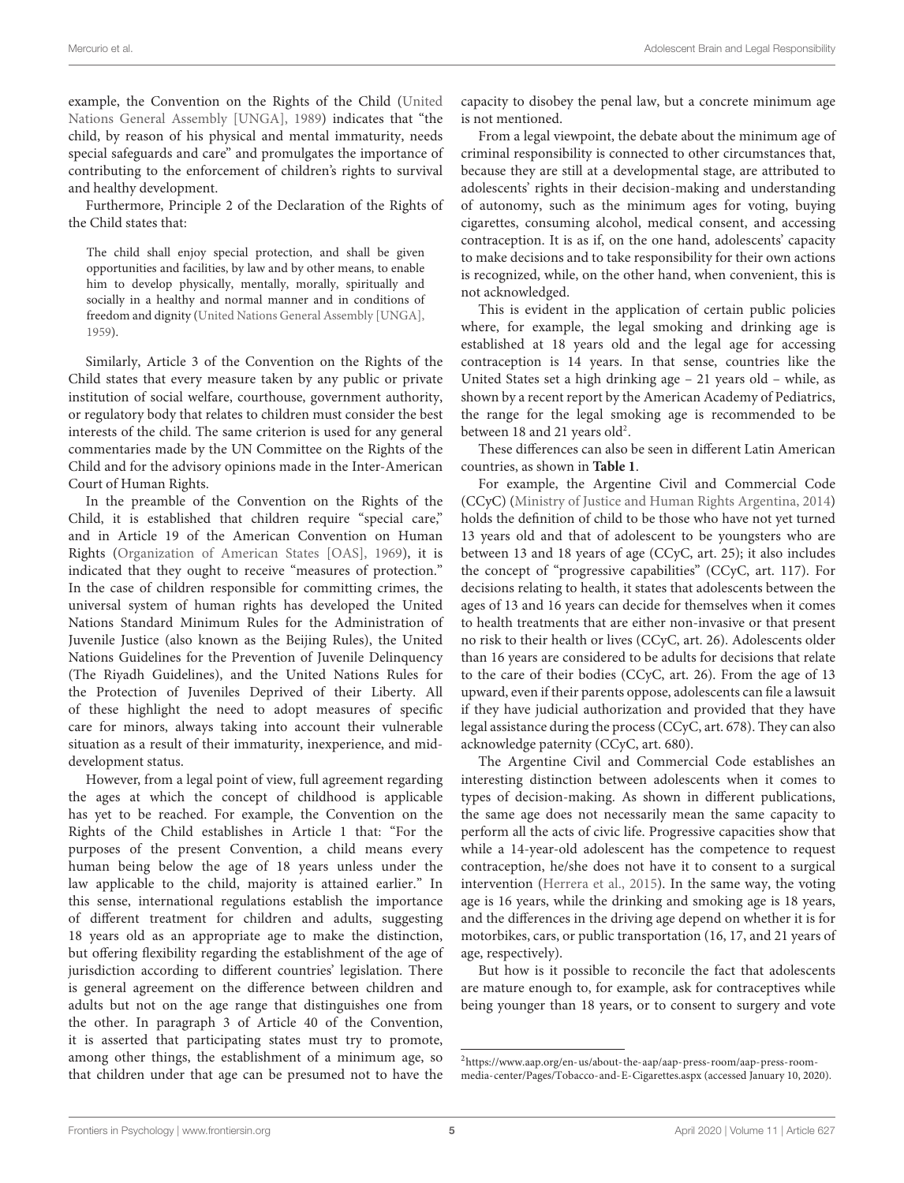example, the Convention on the Rights of the Child [\(United](#page-12-0) [Nations General Assembly \[UNGA\],](#page-12-0) [1989\)](#page-12-0) indicates that "the child, by reason of his physical and mental immaturity, needs special safeguards and care" and promulgates the importance of contributing to the enforcement of children's rights to survival and healthy development.

Furthermore, Principle 2 of the Declaration of the Rights of the Child states that:

The child shall enjoy special protection, and shall be given opportunities and facilities, by law and by other means, to enable him to develop physically, mentally, morally, spiritually and socially in a healthy and normal manner and in conditions of freedom and dignity [\(United Nations General Assembly \[UNGA\],](#page-12-1) [1959\)](#page-12-1).

Similarly, Article 3 of the Convention on the Rights of the Child states that every measure taken by any public or private institution of social welfare, courthouse, government authority, or regulatory body that relates to children must consider the best interests of the child. The same criterion is used for any general commentaries made by the UN Committee on the Rights of the Child and for the advisory opinions made in the Inter-American Court of Human Rights.

In the preamble of the Convention on the Rights of the Child, it is established that children require "special care," and in Article 19 of the American Convention on Human Rights [\(Organization of American States \[OAS\],](#page-11-31) [1969\)](#page-11-31), it is indicated that they ought to receive "measures of protection." In the case of children responsible for committing crimes, the universal system of human rights has developed the United Nations Standard Minimum Rules for the Administration of Juvenile Justice (also known as the Beijing Rules), the United Nations Guidelines for the Prevention of Juvenile Delinquency (The Riyadh Guidelines), and the United Nations Rules for the Protection of Juveniles Deprived of their Liberty. All of these highlight the need to adopt measures of specific care for minors, always taking into account their vulnerable situation as a result of their immaturity, inexperience, and middevelopment status.

However, from a legal point of view, full agreement regarding the ages at which the concept of childhood is applicable has yet to be reached. For example, the Convention on the Rights of the Child establishes in Article 1 that: "For the purposes of the present Convention, a child means every human being below the age of 18 years unless under the law applicable to the child, majority is attained earlier." In this sense, international regulations establish the importance of different treatment for children and adults, suggesting 18 years old as an appropriate age to make the distinction, but offering flexibility regarding the establishment of the age of jurisdiction according to different countries' legislation. There is general agreement on the difference between children and adults but not on the age range that distinguishes one from the other. In paragraph 3 of Article 40 of the Convention, it is asserted that participating states must try to promote, among other things, the establishment of a minimum age, so that children under that age can be presumed not to have the

capacity to disobey the penal law, but a concrete minimum age is not mentioned.

From a legal viewpoint, the debate about the minimum age of criminal responsibility is connected to other circumstances that, because they are still at a developmental stage, are attributed to adolescents' rights in their decision-making and understanding of autonomy, such as the minimum ages for voting, buying cigarettes, consuming alcohol, medical consent, and accessing contraception. It is as if, on the one hand, adolescents' capacity to make decisions and to take responsibility for their own actions is recognized, while, on the other hand, when convenient, this is not acknowledged.

This is evident in the application of certain public policies where, for example, the legal smoking and drinking age is established at 18 years old and the legal age for accessing contraception is 14 years. In that sense, countries like the United States set a high drinking age – 21 years old – while, as shown by a recent report by the American Academy of Pediatrics, the range for the legal smoking age is recommended to be between 18 and [2](#page-4-0)1 years  $old<sup>2</sup>$ .

These differences can also be seen in different Latin American countries, as shown in **[Table 1](#page-5-0)**.

For example, the Argentine Civil and Commercial Code (CCyC) [\(Ministry of Justice and Human Rights Argentina,](#page-11-32) [2014\)](#page-11-32) holds the definition of child to be those who have not yet turned 13 years old and that of adolescent to be youngsters who are between 13 and 18 years of age (CCyC, art. 25); it also includes the concept of "progressive capabilities" (CCyC, art. 117). For decisions relating to health, it states that adolescents between the ages of 13 and 16 years can decide for themselves when it comes to health treatments that are either non-invasive or that present no risk to their health or lives (CCyC, art. 26). Adolescents older than 16 years are considered to be adults for decisions that relate to the care of their bodies (CCyC, art. 26). From the age of 13 upward, even if their parents oppose, adolescents can file a lawsuit if they have judicial authorization and provided that they have legal assistance during the process (CCyC, art. 678). They can also acknowledge paternity (CCyC, art. 680).

The Argentine Civil and Commercial Code establishes an interesting distinction between adolescents when it comes to types of decision-making. As shown in different publications, the same age does not necessarily mean the same capacity to perform all the acts of civic life. Progressive capacities show that while a 14-year-old adolescent has the competence to request contraception, he/she does not have it to consent to a surgical intervention [\(Herrera et al.,](#page-10-32) [2015\)](#page-10-32). In the same way, the voting age is 16 years, while the drinking and smoking age is 18 years, and the differences in the driving age depend on whether it is for motorbikes, cars, or public transportation (16, 17, and 21 years of age, respectively).

But how is it possible to reconcile the fact that adolescents are mature enough to, for example, ask for contraceptives while being younger than 18 years, or to consent to surgery and vote

<span id="page-4-0"></span><sup>2</sup>[https://www.aap.org/en-us/about-the-aap/aap-press-room/aap-press-room](https://www.aap.org/en-us/about-the-aap/aap-press-room/aap-press-room-media-center/Pages/Tobacco-and-E-Cigarettes.aspx)[media-center/Pages/Tobacco-and-E-Cigarettes.aspx](https://www.aap.org/en-us/about-the-aap/aap-press-room/aap-press-room-media-center/Pages/Tobacco-and-E-Cigarettes.aspx) (accessed January 10, 2020).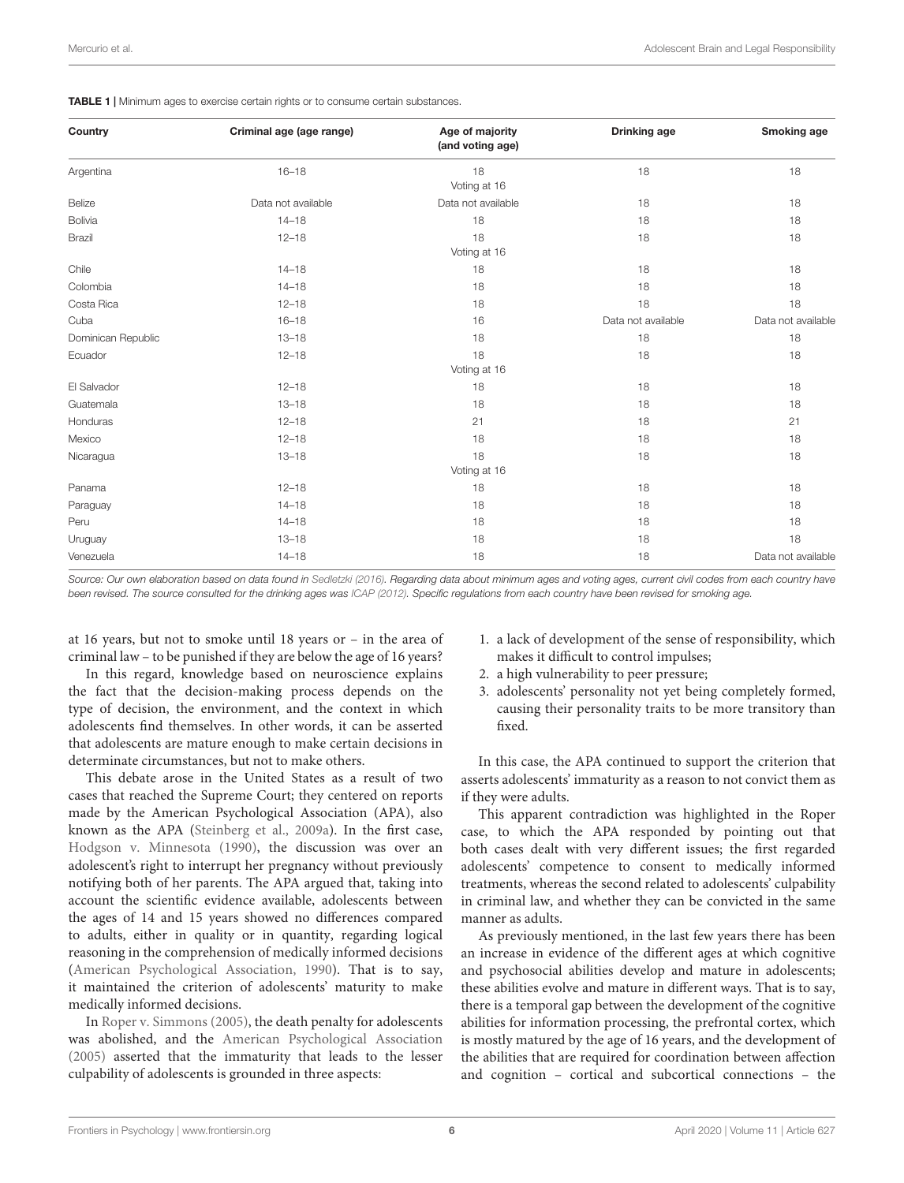<span id="page-5-0"></span>

|  | <b>TABLE 1</b>   Minimum ages to exercise certain rights or to consume certain substances. |  |  |  |  |  |
|--|--------------------------------------------------------------------------------------------|--|--|--|--|--|
|--|--------------------------------------------------------------------------------------------|--|--|--|--|--|

| Country            | Criminal age (age range) | Age of majority<br>(and voting age) | <b>Drinking age</b> | Smoking age        |
|--------------------|--------------------------|-------------------------------------|---------------------|--------------------|
| Argentina          | $16 - 18$                | 18<br>Voting at 16                  | 18                  | 18                 |
| Belize             | Data not available       | Data not available                  | 18                  | 18                 |
| <b>Bolivia</b>     | $14 - 18$                | 18                                  | 18                  | 18                 |
| Brazil             | $12 - 18$                | 18<br>Voting at 16                  | 18                  | 18                 |
| Chile              | $14 - 18$                | 18                                  | 18                  | 18                 |
| Colombia           | $14 - 18$                | 18                                  | 18                  | 18                 |
| Costa Rica         | $12 - 18$                | 18                                  | 18                  | 18                 |
| Cuba               | $16 - 18$                | 16                                  | Data not available  | Data not available |
| Dominican Republic | $13 - 18$                | 18                                  | 18                  | 18                 |
| Ecuador            | $12 - 18$                | 18<br>Voting at 16                  | 18                  | 18                 |
| El Salvador        | $12 - 18$                | 18                                  | 18                  | 18                 |
| Guatemala          | $13 - 18$                | 18                                  | 18                  | 18                 |
| Honduras           | $12 - 18$                | 21                                  | 18                  | 21                 |
| Mexico             | $12 - 18$                | 18                                  | 18                  | 18                 |
| Nicaragua          | $13 - 18$                | 18<br>Voting at 16                  | 18                  | 18                 |
| Panama             | $12 - 18$                | 18                                  | 18                  | 18                 |
| Paraguay           | $14 - 18$                | 18                                  | 18                  | 18                 |
| Peru               | $14 - 18$                | 18                                  | 18                  | 18                 |
| Uruguay            | $13 - 18$                | 18                                  | 18                  | 18                 |
| Venezuela          | $14 - 18$                | 18                                  | 18                  | Data not available |

Source: Our own elaboration based on data found in [Sedletzki](#page-11-33) [\(2016\)](#page-11-33). Regarding data about minimum ages and voting ages, current civil codes from each country have been revised. The source consulted for the drinking ages was [ICAP](#page-10-33) [\(2012\)](#page-10-33). Specific regulations from each country have been revised for smoking age.

at 16 years, but not to smoke until 18 years or – in the area of criminal law – to be punished if they are below the age of 16 years?

In this regard, knowledge based on neuroscience explains the fact that the decision-making process depends on the type of decision, the environment, and the context in which adolescents find themselves. In other words, it can be asserted that adolescents are mature enough to make certain decisions in determinate circumstances, but not to make others.

This debate arose in the United States as a result of two cases that reached the Supreme Court; they centered on reports made by the American Psychological Association (APA), also known as the APA [\(Steinberg et al.,](#page-11-14) [2009a\)](#page-11-14). In the first case, [Hodgson v. Minnesota](#page-10-34) [\(1990\)](#page-10-34), the discussion was over an adolescent's right to interrupt her pregnancy without previously notifying both of her parents. The APA argued that, taking into account the scientific evidence available, adolescents between the ages of 14 and 15 years showed no differences compared to adults, either in quality or in quantity, regarding logical reasoning in the comprehension of medically informed decisions [\(American Psychological Association,](#page-9-6) [1990\)](#page-9-6). That is to say, it maintained the criterion of adolescents' maturity to make medically informed decisions.

In [Roper v. Simmons](#page-11-5) [\(2005\)](#page-11-5), the death penalty for adolescents was abolished, and the [American Psychological Association](#page-9-7) [\(2005\)](#page-9-7) asserted that the immaturity that leads to the lesser culpability of adolescents is grounded in three aspects:

- 1. a lack of development of the sense of responsibility, which makes it difficult to control impulses;
- 2. a high vulnerability to peer pressure;
- 3. adolescents' personality not yet being completely formed, causing their personality traits to be more transitory than fixed.

In this case, the APA continued to support the criterion that asserts adolescents' immaturity as a reason to not convict them as if they were adults.

This apparent contradiction was highlighted in the Roper case, to which the APA responded by pointing out that both cases dealt with very different issues; the first regarded adolescents' competence to consent to medically informed treatments, whereas the second related to adolescents' culpability in criminal law, and whether they can be convicted in the same manner as adults.

As previously mentioned, in the last few years there has been an increase in evidence of the different ages at which cognitive and psychosocial abilities develop and mature in adolescents; these abilities evolve and mature in different ways. That is to say, there is a temporal gap between the development of the cognitive abilities for information processing, the prefrontal cortex, which is mostly matured by the age of 16 years, and the development of the abilities that are required for coordination between affection and cognition – cortical and subcortical connections – the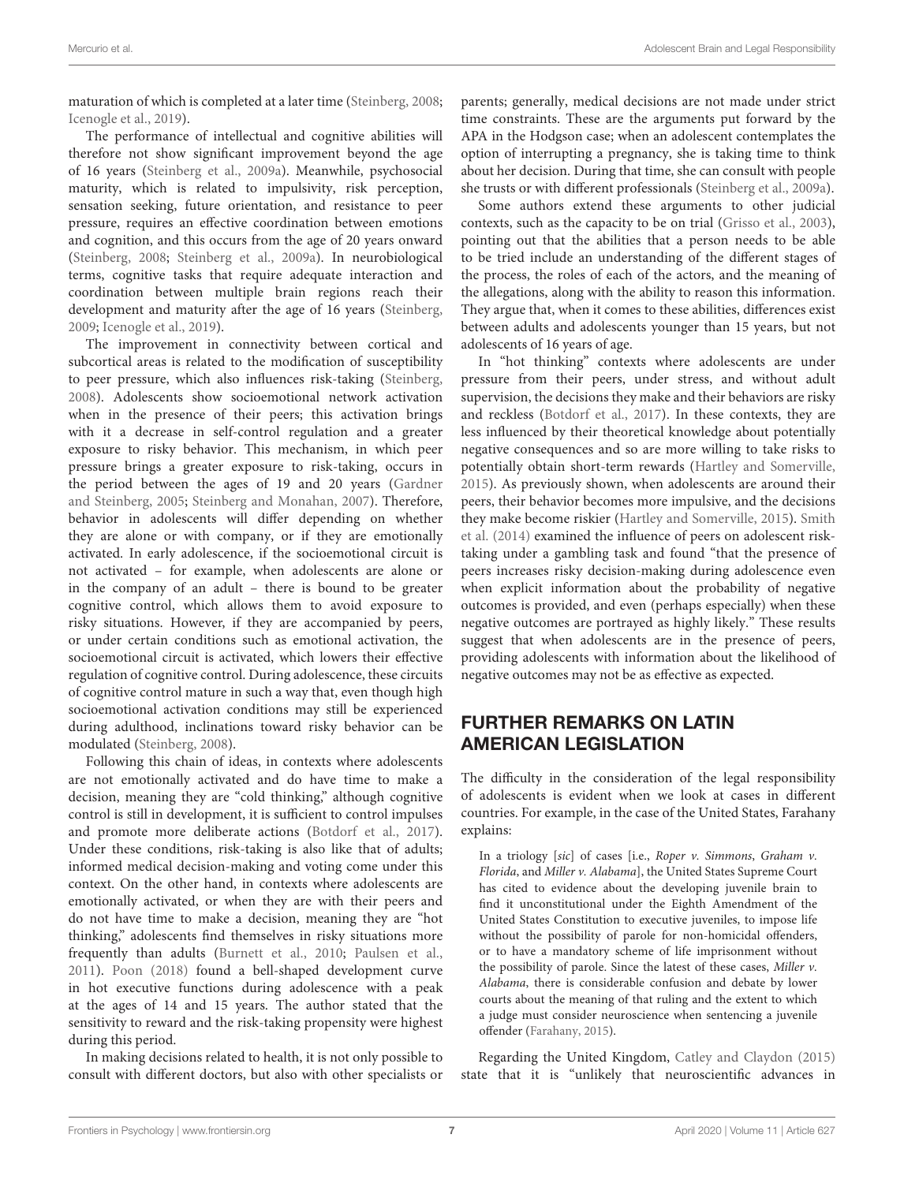maturation of which is completed at a later time [\(Steinberg,](#page-11-13) [2008;](#page-11-13) [Icenogle et al.,](#page-10-14) [2019\)](#page-10-14).

The performance of intellectual and cognitive abilities will therefore not show significant improvement beyond the age of 16 years [\(Steinberg et al.,](#page-11-14) [2009a\)](#page-11-14). Meanwhile, psychosocial maturity, which is related to impulsivity, risk perception, sensation seeking, future orientation, and resistance to peer pressure, requires an effective coordination between emotions and cognition, and this occurs from the age of 20 years onward [\(Steinberg,](#page-11-13) [2008;](#page-11-13) [Steinberg et al.,](#page-11-14) [2009a\)](#page-11-14). In neurobiological terms, cognitive tasks that require adequate interaction and coordination between multiple brain regions reach their development and maturity after the age of 16 years [\(Steinberg,](#page-11-34) [2009;](#page-11-34) [Icenogle et al.,](#page-10-14) [2019\)](#page-10-14).

The improvement in connectivity between cortical and subcortical areas is related to the modification of susceptibility to peer pressure, which also influences risk-taking [\(Steinberg,](#page-11-13) [2008\)](#page-11-13). Adolescents show socioemotional network activation when in the presence of their peers; this activation brings with it a decrease in self-control regulation and a greater exposure to risky behavior. This mechanism, in which peer pressure brings a greater exposure to risk-taking, occurs in the period between the ages of 19 and 20 years [\(Gardner](#page-10-11) [and Steinberg,](#page-10-11) [2005;](#page-10-11) [Steinberg and Monahan,](#page-11-35) [2007\)](#page-11-35). Therefore, behavior in adolescents will differ depending on whether they are alone or with company, or if they are emotionally activated. In early adolescence, if the socioemotional circuit is not activated – for example, when adolescents are alone or in the company of an adult – there is bound to be greater cognitive control, which allows them to avoid exposure to risky situations. However, if they are accompanied by peers, or under certain conditions such as emotional activation, the socioemotional circuit is activated, which lowers their effective regulation of cognitive control. During adolescence, these circuits of cognitive control mature in such a way that, even though high socioemotional activation conditions may still be experienced during adulthood, inclinations toward risky behavior can be modulated [\(Steinberg,](#page-11-13) [2008\)](#page-11-13).

Following this chain of ideas, in contexts where adolescents are not emotionally activated and do have time to make a decision, meaning they are "cold thinking," although cognitive control is still in development, it is sufficient to control impulses and promote more deliberate actions [\(Botdorf et al.,](#page-9-8) [2017\)](#page-9-8). Under these conditions, risk-taking is also like that of adults; informed medical decision-making and voting come under this context. On the other hand, in contexts where adolescents are emotionally activated, or when they are with their peers and do not have time to make a decision, meaning they are "hot thinking," adolescents find themselves in risky situations more frequently than adults [\(Burnett et al.,](#page-9-9) [2010;](#page-9-9) [Paulsen et al.,](#page-11-36) [2011\)](#page-11-36). [Poon](#page-11-30) [\(2018\)](#page-11-30) found a bell-shaped development curve in hot executive functions during adolescence with a peak at the ages of 14 and 15 years. The author stated that the sensitivity to reward and the risk-taking propensity were highest during this period.

In making decisions related to health, it is not only possible to consult with different doctors, but also with other specialists or parents; generally, medical decisions are not made under strict time constraints. These are the arguments put forward by the APA in the Hodgson case; when an adolescent contemplates the option of interrupting a pregnancy, she is taking time to think about her decision. During that time, she can consult with people she trusts or with different professionals [\(Steinberg et al.,](#page-11-14) [2009a\)](#page-11-14).

Some authors extend these arguments to other judicial contexts, such as the capacity to be on trial [\(Grisso et al.,](#page-10-35) [2003\)](#page-10-35), pointing out that the abilities that a person needs to be able to be tried include an understanding of the different stages of the process, the roles of each of the actors, and the meaning of the allegations, along with the ability to reason this information. They argue that, when it comes to these abilities, differences exist between adults and adolescents younger than 15 years, but not adolescents of 16 years of age.

In "hot thinking" contexts where adolescents are under pressure from their peers, under stress, and without adult supervision, the decisions they make and their behaviors are risky and reckless [\(Botdorf et al.,](#page-9-8) [2017\)](#page-9-8). In these contexts, they are less influenced by their theoretical knowledge about potentially negative consequences and so are more willing to take risks to potentially obtain short-term rewards [\(Hartley and Somerville,](#page-10-27) [2015\)](#page-10-27). As previously shown, when adolescents are around their peers, their behavior becomes more impulsive, and the decisions they make become riskier [\(Hartley and Somerville,](#page-10-27) [2015\)](#page-10-27). [Smith](#page-11-21) [et al.](#page-11-21) [\(2014\)](#page-11-21) examined the influence of peers on adolescent risktaking under a gambling task and found "that the presence of peers increases risky decision-making during adolescence even when explicit information about the probability of negative outcomes is provided, and even (perhaps especially) when these negative outcomes are portrayed as highly likely." These results suggest that when adolescents are in the presence of peers, providing adolescents with information about the likelihood of negative outcomes may not be as effective as expected.

# FURTHER REMARKS ON LATIN AMERICAN LEGISLATION

The difficulty in the consideration of the legal responsibility of adolescents is evident when we look at cases in different countries. For example, in the case of the United States, Farahany explains:

In a triology [sic] of cases [i.e., Roper v. Simmons, Graham v. Florida, and Miller v. Alabama], the United States Supreme Court has cited to evidence about the developing juvenile brain to find it unconstitutional under the Eighth Amendment of the United States Constitution to executive juveniles, to impose life without the possibility of parole for non-homicidal offenders, or to have a mandatory scheme of life imprisonment without the possibility of parole. Since the latest of these cases, Miller v. Alabama, there is considerable confusion and debate by lower courts about the meaning of that ruling and the extent to which a judge must consider neuroscience when sentencing a juvenile offender [\(Farahany,](#page-10-1) [2015\)](#page-10-1).

Regarding the United Kingdom, [Catley and Claydon](#page-10-36) [\(2015\)](#page-10-36) state that it is "unlikely that neuroscientific advances in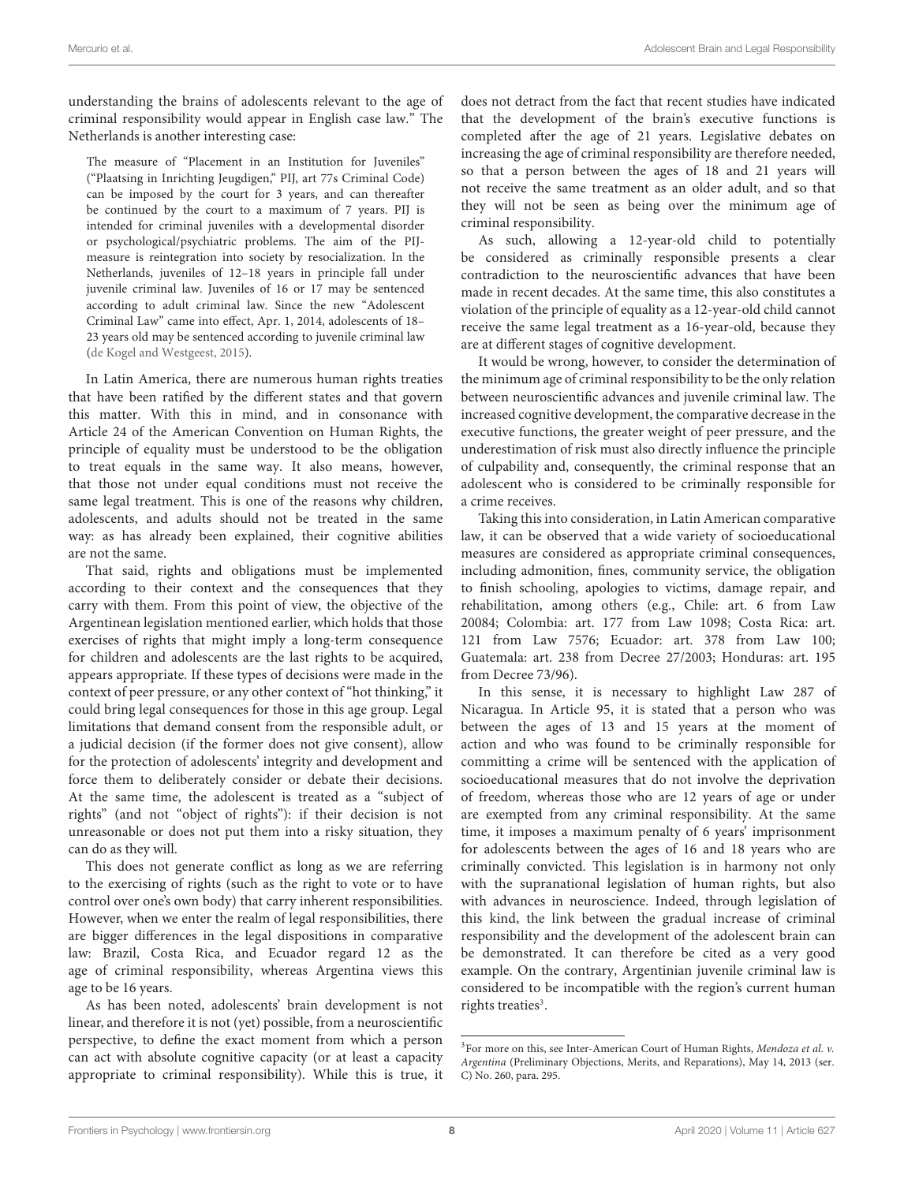understanding the brains of adolescents relevant to the age of criminal responsibility would appear in English case law." The Netherlands is another interesting case:

The measure of "Placement in an Institution for Juveniles" ("Plaatsing in Inrichting Jeugdigen," PIJ, art 77s Criminal Code) can be imposed by the court for 3 years, and can thereafter be continued by the court to a maximum of 7 years. PIJ is intended for criminal juveniles with a developmental disorder or psychological/psychiatric problems. The aim of the PIJmeasure is reintegration into society by resocialization. In the Netherlands, juveniles of 12–18 years in principle fall under juvenile criminal law. Juveniles of 16 or 17 may be sentenced according to adult criminal law. Since the new "Adolescent Criminal Law" came into effect, Apr. 1, 2014, adolescents of 18– 23 years old may be sentenced according to juvenile criminal law [\(de Kogel and Westgeest,](#page-10-37) [2015\)](#page-10-37).

In Latin America, there are numerous human rights treaties that have been ratified by the different states and that govern this matter. With this in mind, and in consonance with Article 24 of the American Convention on Human Rights, the principle of equality must be understood to be the obligation to treat equals in the same way. It also means, however, that those not under equal conditions must not receive the same legal treatment. This is one of the reasons why children, adolescents, and adults should not be treated in the same way: as has already been explained, their cognitive abilities are not the same.

That said, rights and obligations must be implemented according to their context and the consequences that they carry with them. From this point of view, the objective of the Argentinean legislation mentioned earlier, which holds that those exercises of rights that might imply a long-term consequence for children and adolescents are the last rights to be acquired, appears appropriate. If these types of decisions were made in the context of peer pressure, or any other context of "hot thinking," it could bring legal consequences for those in this age group. Legal limitations that demand consent from the responsible adult, or a judicial decision (if the former does not give consent), allow for the protection of adolescents' integrity and development and force them to deliberately consider or debate their decisions. At the same time, the adolescent is treated as a "subject of rights" (and not "object of rights"): if their decision is not unreasonable or does not put them into a risky situation, they can do as they will.

This does not generate conflict as long as we are referring to the exercising of rights (such as the right to vote or to have control over one's own body) that carry inherent responsibilities. However, when we enter the realm of legal responsibilities, there are bigger differences in the legal dispositions in comparative law: Brazil, Costa Rica, and Ecuador regard 12 as the age of criminal responsibility, whereas Argentina views this age to be 16 years.

As has been noted, adolescents' brain development is not linear, and therefore it is not (yet) possible, from a neuroscientific perspective, to define the exact moment from which a person can act with absolute cognitive capacity (or at least a capacity appropriate to criminal responsibility). While this is true, it does not detract from the fact that recent studies have indicated that the development of the brain's executive functions is completed after the age of 21 years. Legislative debates on increasing the age of criminal responsibility are therefore needed, so that a person between the ages of 18 and 21 years will not receive the same treatment as an older adult, and so that they will not be seen as being over the minimum age of criminal responsibility.

As such, allowing a 12-year-old child to potentially be considered as criminally responsible presents a clear contradiction to the neuroscientific advances that have been made in recent decades. At the same time, this also constitutes a violation of the principle of equality as a 12-year-old child cannot receive the same legal treatment as a 16-year-old, because they are at different stages of cognitive development.

It would be wrong, however, to consider the determination of the minimum age of criminal responsibility to be the only relation between neuroscientific advances and juvenile criminal law. The increased cognitive development, the comparative decrease in the executive functions, the greater weight of peer pressure, and the underestimation of risk must also directly influence the principle of culpability and, consequently, the criminal response that an adolescent who is considered to be criminally responsible for a crime receives.

Taking this into consideration, in Latin American comparative law, it can be observed that a wide variety of socioeducational measures are considered as appropriate criminal consequences, including admonition, fines, community service, the obligation to finish schooling, apologies to victims, damage repair, and rehabilitation, among others (e.g., Chile: art. 6 from Law 20084; Colombia: art. 177 from Law 1098; Costa Rica: art. 121 from Law 7576; Ecuador: art. 378 from Law 100; Guatemala: art. 238 from Decree 27/2003; Honduras: art. 195 from Decree 73/96).

In this sense, it is necessary to highlight Law 287 of Nicaragua. In Article 95, it is stated that a person who was between the ages of 13 and 15 years at the moment of action and who was found to be criminally responsible for committing a crime will be sentenced with the application of socioeducational measures that do not involve the deprivation of freedom, whereas those who are 12 years of age or under are exempted from any criminal responsibility. At the same time, it imposes a maximum penalty of 6 years' imprisonment for adolescents between the ages of 16 and 18 years who are criminally convicted. This legislation is in harmony not only with the supranational legislation of human rights, but also with advances in neuroscience. Indeed, through legislation of this kind, the link between the gradual increase of criminal responsibility and the development of the adolescent brain can be demonstrated. It can therefore be cited as a very good example. On the contrary, Argentinian juvenile criminal law is considered to be incompatible with the region's current human rights treaties<sup>[3](#page-7-0)</sup>.

<span id="page-7-0"></span><sup>&</sup>lt;sup>3</sup>For more on this, see Inter-American Court of Human Rights, Mendoza et al. v. Argentina (Preliminary Objections, Merits, and Reparations), May 14, 2013 (ser. C) No. 260, para. 295.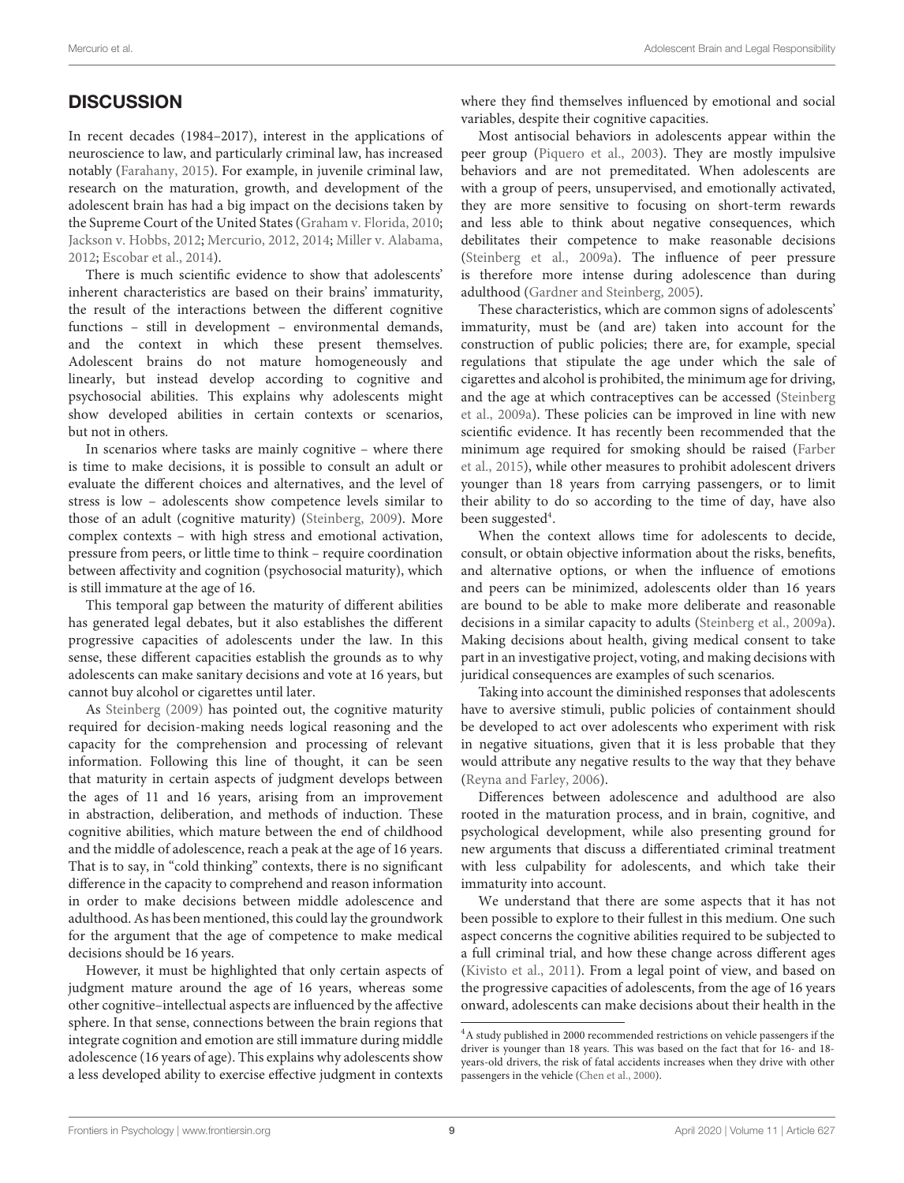# **DISCUSSION**

In recent decades (1984–2017), interest in the applications of neuroscience to law, and particularly criminal law, has increased notably [\(Farahany,](#page-10-1) [2015\)](#page-10-1). For example, in juvenile criminal law, research on the maturation, growth, and development of the adolescent brain has had a big impact on the decisions taken by the Supreme Court of the United States [\(Graham v. Florida,](#page-10-4) [2010;](#page-10-4) [Jackson v. Hobbs,](#page-10-38) [2012;](#page-10-38) [Mercurio,](#page-11-3) [2012,](#page-11-3) [2014;](#page-11-37) [Miller v. Alabama,](#page-11-6) [2012;](#page-11-6) [Escobar et al.,](#page-10-39) [2014\)](#page-10-39).

There is much scientific evidence to show that adolescents' inherent characteristics are based on their brains' immaturity, the result of the interactions between the different cognitive functions – still in development – environmental demands, and the context in which these present themselves. Adolescent brains do not mature homogeneously and linearly, but instead develop according to cognitive and psychosocial abilities. This explains why adolescents might show developed abilities in certain contexts or scenarios, but not in others.

In scenarios where tasks are mainly cognitive – where there is time to make decisions, it is possible to consult an adult or evaluate the different choices and alternatives, and the level of stress is low – adolescents show competence levels similar to those of an adult (cognitive maturity) [\(Steinberg,](#page-11-34) [2009\)](#page-11-34). More complex contexts – with high stress and emotional activation, pressure from peers, or little time to think – require coordination between affectivity and cognition (psychosocial maturity), which is still immature at the age of 16.

This temporal gap between the maturity of different abilities has generated legal debates, but it also establishes the different progressive capacities of adolescents under the law. In this sense, these different capacities establish the grounds as to why adolescents can make sanitary decisions and vote at 16 years, but cannot buy alcohol or cigarettes until later.

As [Steinberg](#page-11-34) [\(2009\)](#page-11-34) has pointed out, the cognitive maturity required for decision-making needs logical reasoning and the capacity for the comprehension and processing of relevant information. Following this line of thought, it can be seen that maturity in certain aspects of judgment develops between the ages of 11 and 16 years, arising from an improvement in abstraction, deliberation, and methods of induction. These cognitive abilities, which mature between the end of childhood and the middle of adolescence, reach a peak at the age of 16 years. That is to say, in "cold thinking" contexts, there is no significant difference in the capacity to comprehend and reason information in order to make decisions between middle adolescence and adulthood. As has been mentioned, this could lay the groundwork for the argument that the age of competence to make medical decisions should be 16 years.

However, it must be highlighted that only certain aspects of judgment mature around the age of 16 years, whereas some other cognitive–intellectual aspects are influenced by the affective sphere. In that sense, connections between the brain regions that integrate cognition and emotion are still immature during middle adolescence (16 years of age). This explains why adolescents show a less developed ability to exercise effective judgment in contexts

where they find themselves influenced by emotional and social variables, despite their cognitive capacities.

Most antisocial behaviors in adolescents appear within the peer group [\(Piquero et al.,](#page-11-38) [2003\)](#page-11-38). They are mostly impulsive behaviors and are not premeditated. When adolescents are with a group of peers, unsupervised, and emotionally activated, they are more sensitive to focusing on short-term rewards and less able to think about negative consequences, which debilitates their competence to make reasonable decisions [\(Steinberg et al.,](#page-11-14) [2009a\)](#page-11-14). The influence of peer pressure is therefore more intense during adolescence than during adulthood [\(Gardner and Steinberg,](#page-10-11) [2005\)](#page-10-11).

These characteristics, which are common signs of adolescents' immaturity, must be (and are) taken into account for the construction of public policies; there are, for example, special regulations that stipulate the age under which the sale of cigarettes and alcohol is prohibited, the minimum age for driving, and the age at which contraceptives can be accessed [\(Steinberg](#page-11-14) [et al.,](#page-11-14) [2009a\)](#page-11-14). These policies can be improved in line with new scientific evidence. It has recently been recommended that the minimum age required for smoking should be raised [\(Farber](#page-10-40) [et al.,](#page-10-40) [2015\)](#page-10-40), while other measures to prohibit adolescent drivers younger than 18 years from carrying passengers, or to limit their ability to do so according to the time of day, have also been suggested<sup>[4](#page-8-0)</sup>.

When the context allows time for adolescents to decide, consult, or obtain objective information about the risks, benefits, and alternative options, or when the influence of emotions and peers can be minimized, adolescents older than 16 years are bound to be able to make more deliberate and reasonable decisions in a similar capacity to adults [\(Steinberg et al.,](#page-11-14) [2009a\)](#page-11-14). Making decisions about health, giving medical consent to take part in an investigative project, voting, and making decisions with juridical consequences are examples of such scenarios.

Taking into account the diminished responses that adolescents have to aversive stimuli, public policies of containment should be developed to act over adolescents who experiment with risk in negative situations, given that it is less probable that they would attribute any negative results to the way that they behave [\(Reyna and Farley,](#page-11-39) [2006\)](#page-11-39).

Differences between adolescence and adulthood are also rooted in the maturation process, and in brain, cognitive, and psychological development, while also presenting ground for new arguments that discuss a differentiated criminal treatment with less culpability for adolescents, and which take their immaturity into account.

We understand that there are some aspects that it has not been possible to explore to their fullest in this medium. One such aspect concerns the cognitive abilities required to be subjected to a full criminal trial, and how these change across different ages [\(Kivisto et al.,](#page-10-41) [2011\)](#page-10-41). From a legal point of view, and based on the progressive capacities of adolescents, from the age of 16 years onward, adolescents can make decisions about their health in the

<span id="page-8-0"></span><sup>4</sup>A study published in 2000 recommended restrictions on vehicle passengers if the driver is younger than 18 years. This was based on the fact that for 16- and 18 years-old drivers, the risk of fatal accidents increases when they drive with other passengers in the vehicle [\(Chen et al.,](#page-10-42) [2000\)](#page-10-42).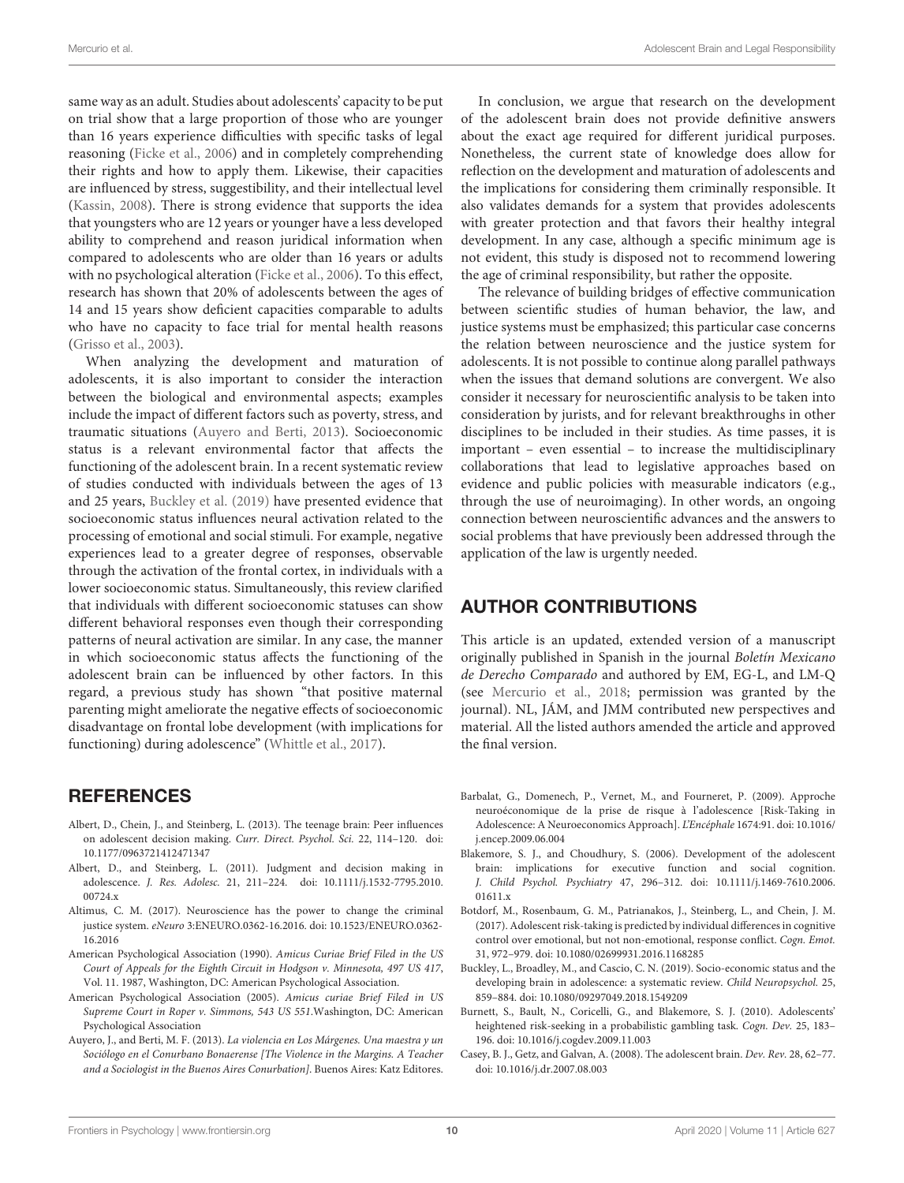same way as an adult. Studies about adolescents' capacity to be put on trial show that a large proportion of those who are younger than 16 years experience difficulties with specific tasks of legal reasoning [\(Ficke et al.,](#page-10-43) [2006\)](#page-10-43) and in completely comprehending their rights and how to apply them. Likewise, their capacities are influenced by stress, suggestibility, and their intellectual level [\(Kassin,](#page-10-44) [2008\)](#page-10-44). There is strong evidence that supports the idea that youngsters who are 12 years or younger have a less developed ability to comprehend and reason juridical information when compared to adolescents who are older than 16 years or adults with no psychological alteration [\(Ficke et al.,](#page-10-43) [2006\)](#page-10-43). To this effect, research has shown that 20% of adolescents between the ages of 14 and 15 years show deficient capacities comparable to adults who have no capacity to face trial for mental health reasons [\(Grisso et al.,](#page-10-35) [2003\)](#page-10-35).

When analyzing the development and maturation of adolescents, it is also important to consider the interaction between the biological and environmental aspects; examples include the impact of different factors such as poverty, stress, and traumatic situations [\(Auyero and Berti,](#page-9-10) [2013\)](#page-9-10). Socioeconomic status is a relevant environmental factor that affects the functioning of the adolescent brain. In a recent systematic review of studies conducted with individuals between the ages of 13 and 25 years, [Buckley et al.](#page-9-11) [\(2019\)](#page-9-11) have presented evidence that socioeconomic status influences neural activation related to the processing of emotional and social stimuli. For example, negative experiences lead to a greater degree of responses, observable through the activation of the frontal cortex, in individuals with a lower socioeconomic status. Simultaneously, this review clarified that individuals with different socioeconomic statuses can show different behavioral responses even though their corresponding patterns of neural activation are similar. In any case, the manner in which socioeconomic status affects the functioning of the adolescent brain can be influenced by other factors. In this regard, a previous study has shown "that positive maternal parenting might ameliorate the negative effects of socioeconomic disadvantage on frontal lobe development (with implications for functioning) during adolescence" [\(Whittle et al.,](#page-12-2) [2017\)](#page-12-2).

# **REFERENCES**

- <span id="page-9-4"></span>Albert, D., Chein, J., and Steinberg, L. (2013). The teenage brain: Peer influences on adolescent decision making. Curr. Direct. Psychol. Sci. 22, 114–120. [doi:](https://doi.org/10.1177/0963721412471347) [10.1177/0963721412471347](https://doi.org/10.1177/0963721412471347)
- <span id="page-9-3"></span>Albert, D., and Steinberg, L. (2011). Judgment and decision making in adolescence. J. Res. Adolesc. 21, 211–224. [doi: 10.1111/j.1532-7795.2010.](https://doi.org/10.1111/j.1532-7795.2010.00724.x) [00724.x](https://doi.org/10.1111/j.1532-7795.2010.00724.x)
- <span id="page-9-0"></span>Altimus, C. M. (2017). Neuroscience has the power to change the criminal justice system. eNeuro 3:ENEURO.0362-16.2016. [doi: 10.1523/ENEURO.0362-](https://doi.org/10.1523/ENEURO.0362-16.2016) [16.2016](https://doi.org/10.1523/ENEURO.0362-16.2016)
- <span id="page-9-6"></span>American Psychological Association (1990). Amicus Curiae Brief Filed in the US Court of Appeals for the Eighth Circuit in Hodgson v. Minnesota, 497 US 417, Vol. 11. 1987, Washington, DC: American Psychological Association.
- <span id="page-9-7"></span>American Psychological Association (2005). Amicus curiae Brief Filed in US Supreme Court in Roper v. Simmons, 543 US 551.Washington, DC: American Psychological Association
- <span id="page-9-10"></span>Auyero, J., and Berti, M. F. (2013). La violencia en Los Márgenes. Una maestra y un Sociólogo en el Conurbano Bonaerense [The Violence in the Margins. A Teacher and a Sociologist in the Buenos Aires Conurbation]. Buenos Aires: Katz Editores.

In conclusion, we argue that research on the development of the adolescent brain does not provide definitive answers about the exact age required for different juridical purposes. Nonetheless, the current state of knowledge does allow for reflection on the development and maturation of adolescents and the implications for considering them criminally responsible. It also validates demands for a system that provides adolescents with greater protection and that favors their healthy integral development. In any case, although a specific minimum age is not evident, this study is disposed not to recommend lowering the age of criminal responsibility, but rather the opposite.

The relevance of building bridges of effective communication between scientific studies of human behavior, the law, and justice systems must be emphasized; this particular case concerns the relation between neuroscience and the justice system for adolescents. It is not possible to continue along parallel pathways when the issues that demand solutions are convergent. We also consider it necessary for neuroscientific analysis to be taken into consideration by jurists, and for relevant breakthroughs in other disciplines to be included in their studies. As time passes, it is important – even essential – to increase the multidisciplinary collaborations that lead to legislative approaches based on evidence and public policies with measurable indicators (e.g., through the use of neuroimaging). In other words, an ongoing connection between neuroscientific advances and the answers to social problems that have previously been addressed through the application of the law is urgently needed.

# AUTHOR CONTRIBUTIONS

This article is an updated, extended version of a manuscript originally published in Spanish in the journal Boletín Mexicano de Derecho Comparado and authored by EM, EG-L, and LM-Q (see [Mercurio et al.,](#page-11-40) [2018;](#page-11-40) permission was granted by the journal). NL, JÁM, and JMM contributed new perspectives and material. All the listed authors amended the article and approved the final version.

- <span id="page-9-1"></span>Barbalat, G., Domenech, P., Vernet, M., and Fourneret, P. (2009). Approche neuroéconomique de la prise de risque à l'adolescence [Risk-Taking in Adolescence: A Neuroeconomics Approach]. L'Encéphale 1674:91. [doi: 10.1016/](https://doi.org/10.1016/j.encep.2009.06.004) [j.encep.2009.06.004](https://doi.org/10.1016/j.encep.2009.06.004)
- <span id="page-9-5"></span>Blakemore, S. J., and Choudhury, S. (2006). Development of the adolescent brain: implications for executive function and social cognition. J. Child Psychol. Psychiatry 47, 296–312. [doi: 10.1111/j.1469-7610.2006.](https://doi.org/10.1111/j.1469-7610.2006.01611.x) [01611.x](https://doi.org/10.1111/j.1469-7610.2006.01611.x)
- <span id="page-9-8"></span>Botdorf, M., Rosenbaum, G. M., Patrianakos, J., Steinberg, L., and Chein, J. M. (2017). Adolescent risk-taking is predicted by individual differences in cognitive control over emotional, but not non-emotional, response conflict. Cogn. Emot. 31, 972–979. [doi: 10.1080/02699931.2016.1168285](https://doi.org/10.1080/02699931.2016.1168285)
- <span id="page-9-11"></span>Buckley, L., Broadley, M., and Cascio, C. N. (2019). Socio-economic status and the developing brain in adolescence: a systematic review. Child Neuropsychol. 25, 859–884. [doi: 10.1080/09297049.2018.1549209](https://doi.org/10.1080/09297049.2018.1549209)
- <span id="page-9-9"></span>Burnett, S., Bault, N., Coricelli, G., and Blakemore, S. J. (2010). Adolescents' heightened risk-seeking in a probabilistic gambling task. Cogn. Dev. 25, 183– 196. [doi: 10.1016/j.cogdev.2009.11.003](https://doi.org/10.1016/j.cogdev.2009.11.003)
- <span id="page-9-2"></span>Casey, B. J., Getz, and Galvan, A. (2008). The adolescent brain. Dev. Rev. 28, 62–77. [doi: 10.1016/j.dr.2007.08.003](https://doi.org/10.1016/j.dr.2007.08.003)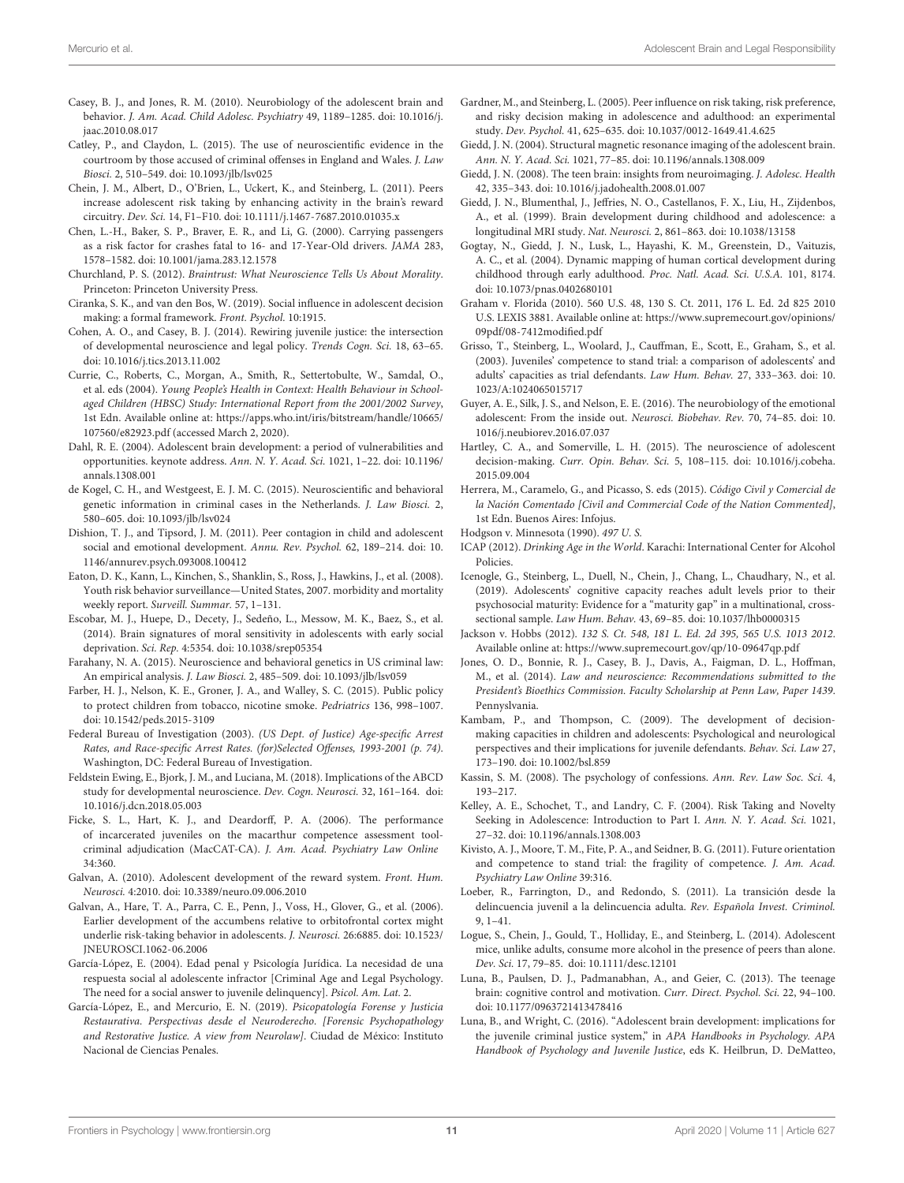- <span id="page-10-18"></span>Casey, B. J., and Jones, R. M. (2010). Neurobiology of the adolescent brain and behavior. J. Am. Acad. Child Adolesc. Psychiatry 49, 1189–1285. [doi: 10.1016/j.](https://doi.org/10.1016/j.jaac.2010.08.017) [jaac.2010.08.017](https://doi.org/10.1016/j.jaac.2010.08.017)
- <span id="page-10-36"></span>Catley, P., and Claydon, L. (2015). The use of neuroscientific evidence in the courtroom by those accused of criminal offenses in England and Wales. J. Law Biosci. 2, 510–549. [doi: 10.1093/jlb/lsv025](https://doi.org/10.1093/jlb/lsv025)
- <span id="page-10-15"></span>Chein, J. M., Albert, D., O'Brien, L., Uckert, K., and Steinberg, L. (2011). Peers increase adolescent risk taking by enhancing activity in the brain's reward circuitry. Dev. Sci. 14, F1–F10. [doi: 10.1111/j.1467-7687.2010.01035.x](https://doi.org/10.1111/j.1467-7687.2010.01035.x)
- <span id="page-10-42"></span>Chen, L.-H., Baker, S. P., Braver, E. R., and Li, G. (2000). Carrying passengers as a risk factor for crashes fatal to 16- and 17-Year-Old drivers. JAMA 283, 1578–1582. [doi: 10.1001/jama.283.12.1578](https://doi.org/10.1001/jama.283.12.1578)
- <span id="page-10-5"></span>Churchland, P. S. (2012). Braintrust: What Neuroscience Tells Us About Morality. Princeton: Princeton University Press.
- <span id="page-10-20"></span>Ciranka, S. K., and van den Bos, W. (2019). Social influence in adolescent decision making: a formal framework. Front. Psychol. 10:1915.
- <span id="page-10-2"></span>Cohen, A. O., and Casey, B. J. (2014). Rewiring juvenile justice: the intersection of developmental neuroscience and legal policy. Trends Cogn. Sci. 18, 63–65. [doi: 10.1016/j.tics.2013.11.002](https://doi.org/10.1016/j.tics.2013.11.002)
- <span id="page-10-19"></span>Currie, C., Roberts, C., Morgan, A., Smith, R., Settertobulte, W., Samdal, O., et al. eds (2004). Young People's Health in Context: Health Behaviour in Schoolaged Children (HBSC) Study: International Report from the 2001/2002 Survey, 1st Edn. Available online at: [https://apps.who.int/iris/bitstream/handle/10665/](https://apps.who.int/iris/bitstream/handle/10665/107560/e82923.pdf) [107560/e82923.pdf](https://apps.who.int/iris/bitstream/handle/10665/107560/e82923.pdf) (accessed March 2, 2020).
- <span id="page-10-8"></span>Dahl, R. E. (2004). Adolescent brain development: a period of vulnerabilities and opportunities. keynote address. Ann. N. Y. Acad. Sci. 1021, 1–22. [doi: 10.1196/](https://doi.org/10.1196/annals.1308.001) [annals.1308.001](https://doi.org/10.1196/annals.1308.001)
- <span id="page-10-37"></span>de Kogel, C. H., and Westgeest, E. J. M. C. (2015). Neuroscientific and behavioral genetic information in criminal cases in the Netherlands. J. Law Biosci. 2, 580–605. [doi: 10.1093/jlb/lsv024](https://doi.org/10.1093/jlb/lsv024)
- <span id="page-10-21"></span>Dishion, T. J., and Tipsord, J. M. (2011). Peer contagion in child and adolescent social and emotional development. Annu. Rev. Psychol. 62, 189–214. [doi: 10.](https://doi.org/10.1146/annurev.psych.093008.100412) [1146/annurev.psych.093008.100412](https://doi.org/10.1146/annurev.psych.093008.100412)
- <span id="page-10-12"></span>Eaton, D. K., Kann, L., Kinchen, S., Shanklin, S., Ross, J., Hawkins, J., et al. (2008). Youth risk behavior surveillance—United States, 2007. morbidity and mortality weekly report. Surveill. Summar. 57, 1–131.
- <span id="page-10-39"></span>Escobar, M. J., Huepe, D., Decety, J., Sedeño, L., Messow, M. K., Baez, S., et al. (2014). Brain signatures of moral sensitivity in adolescents with early social deprivation. Sci. Rep. 4:5354. [doi: 10.1038/srep05354](https://doi.org/10.1038/srep05354)
- <span id="page-10-1"></span>Farahany, N. A. (2015). Neuroscience and behavioral genetics in US criminal law: An empirical analysis. J. Law Biosci. 2, 485–509. [doi: 10.1093/jlb/lsv059](https://doi.org/10.1093/jlb/lsv059)
- <span id="page-10-40"></span>Farber, H. J., Nelson, K. E., Groner, J. A., and Walley, S. C. (2015). Public policy to protect children from tobacco, nicotine smoke. Pedriatrics 136, 998–1007. [doi: 10.1542/peds.2015-3109](https://doi.org/10.1542/peds.2015-3109)
- <span id="page-10-24"></span>Federal Bureau of Investigation (2003). (US Dept. of Justice) Age-specific Arrest Rates, and Race-specific Arrest Rates. (for)Selected Offenses, 1993-2001 (p. 74). Washington, DC: Federal Bureau of Investigation.
- <span id="page-10-0"></span>Feldstein Ewing, E., Bjork, J. M., and Luciana, M. (2018). Implications of the ABCD study for developmental neuroscience. Dev. Cogn. Neurosci. 32, 161–164. [doi:](https://doi.org/10.1016/j.dcn.2018.05.003) [10.1016/j.dcn.2018.05.003](https://doi.org/10.1016/j.dcn.2018.05.003)
- <span id="page-10-43"></span>Ficke, S. L., Hart, K. J., and Deardorff, P. A. (2006). The performance of incarcerated juveniles on the macarthur competence assessment toolcriminal adjudication (MacCAT-CA). J. Am. Acad. Psychiatry Law Online 34:360.
- <span id="page-10-16"></span>Galvan, A. (2010). Adolescent development of the reward system. Front. Hum. Neurosci. 4:2010. [doi: 10.3389/neuro.09.006.2010](https://doi.org/10.3389/neuro.09.006.2010)
- <span id="page-10-26"></span>Galvan, A., Hare, T. A., Parra, C. E., Penn, J., Voss, H., Glover, G., et al. (2006). Earlier development of the accumbens relative to orbitofrontal cortex might underlie risk-taking behavior in adolescents. J. Neurosci. 26:6885. [doi: 10.1523/](https://doi.org/10.1523/JNEUROSCI.1062-06.2006) [JNEUROSCI.1062-06.2006](https://doi.org/10.1523/JNEUROSCI.1062-06.2006)
- <span id="page-10-13"></span>García-López, E. (2004). Edad penal y Psicología Jurídica. La necesidad de una respuesta social al adolescente infractor [Criminal Age and Legal Psychology. The need for a social answer to juvenile delinquency]. Psicol. Am. Lat. 2.
- <span id="page-10-10"></span>García-López, E., and Mercurio, E. N. (2019). Psicopatología Forense y Justicia Restaurativa. Perspectivas desde el Neuroderecho. [Forensic Psychopathology and Restorative Justice. A view from Neurolaw]. Ciudad de México: Instituto Nacional de Ciencias Penales.
- <span id="page-10-11"></span>Gardner, M., and Steinberg, L. (2005). Peer influence on risk taking, risk preference, and risky decision making in adolescence and adulthood: an experimental study. Dev. Psychol. 41, 625–635. [doi: 10.1037/0012-1649.41.4.625](https://doi.org/10.1037/0012-1649.41.4.625)
- <span id="page-10-31"></span>Giedd, J. N. (2004). Structural magnetic resonance imaging of the adolescent brain. Ann. N. Y. Acad. Sci. 1021, 77–85. [doi: 10.1196/annals.1308.009](https://doi.org/10.1196/annals.1308.009)
- <span id="page-10-28"></span>Giedd, J. N. (2008). The teen brain: insights from neuroimaging. J. Adolesc. Health 42, 335–343. [doi: 10.1016/j.jadohealth.2008.01.007](https://doi.org/10.1016/j.jadohealth.2008.01.007)
- <span id="page-10-6"></span>Giedd, J. N., Blumenthal, J., Jeffries, N. O., Castellanos, F. X., Liu, H., Zijdenbos, A., et al. (1999). Brain development during childhood and adolescence: a longitudinal MRI study. Nat. Neurosci. 2, 861–863. [doi: 10.1038/13158](https://doi.org/10.1038/13158)
- <span id="page-10-7"></span>Gogtay, N., Giedd, J. N., Lusk, L., Hayashi, K. M., Greenstein, D., Vaituzis, A. C., et al. (2004). Dynamic mapping of human cortical development during childhood through early adulthood. Proc. Natl. Acad. Sci. U.S.A. 101, 8174. [doi: 10.1073/pnas.0402680101](https://doi.org/10.1073/pnas.0402680101)
- <span id="page-10-4"></span>Graham v. Florida (2010). 560 U.S. 48, 130 S. Ct. 2011, 176 L. Ed. 2d 825 2010 U.S. LEXIS 3881. Available online at: [https://www.supremecourt.gov/opinions/](https://www.supremecourt.gov/opinions/09pdf/08-7412modified.pdf) [09pdf/08-7412modified.pdf](https://www.supremecourt.gov/opinions/09pdf/08-7412modified.pdf)
- <span id="page-10-35"></span>Grisso, T., Steinberg, L., Woolard, J., Cauffman, E., Scott, E., Graham, S., et al. (2003). Juveniles' competence to stand trial: a comparison of adolescents' and adults' capacities as trial defendants. Law Hum. Behav. 27, 333–363. [doi: 10.](https://doi.org/10.1023/A:1024065015717) [1023/A:1024065015717](https://doi.org/10.1023/A:1024065015717)
- <span id="page-10-29"></span>Guyer, A. E., Silk, J. S., and Nelson, E. E. (2016). The neurobiology of the emotional adolescent: From the inside out. Neurosci. Biobehav. Rev. 70, 74–85. [doi: 10.](https://doi.org/10.1016/j.neubiorev.2016.07.037) [1016/j.neubiorev.2016.07.037](https://doi.org/10.1016/j.neubiorev.2016.07.037)
- <span id="page-10-27"></span>Hartley, C. A., and Somerville, L. H. (2015). The neuroscience of adolescent decision-making. Curr. Opin. Behav. Sci. 5, 108–115. [doi: 10.1016/j.cobeha.](https://doi.org/10.1016/j.cobeha.2015.09.004) [2015.09.004](https://doi.org/10.1016/j.cobeha.2015.09.004)
- <span id="page-10-32"></span>Herrera, M., Caramelo, G., and Picasso, S. eds (2015). Código Civil y Comercial de la Nación Comentado [Civil and Commercial Code of the Nation Commented], 1st Edn. Buenos Aires: Infojus.
- <span id="page-10-34"></span>Hodgson v. Minnesota (1990). 497 U. S.
- <span id="page-10-33"></span>ICAP (2012). Drinking Age in the World. Karachi: International Center for Alcohol Policies.
- <span id="page-10-14"></span>Icenogle, G., Steinberg, L., Duell, N., Chein, J., Chang, L., Chaudhary, N., et al. (2019). Adolescents' cognitive capacity reaches adult levels prior to their psychosocial maturity: Evidence for a "maturity gap" in a multinational, crosssectional sample. Law Hum. Behav. 43, 69–85. [doi: 10.1037/lhb0000315](https://doi.org/10.1037/lhb0000315)
- <span id="page-10-38"></span>Jackson v. Hobbs (2012). 132 S. Ct. 548, 181 L. Ed. 2d 395, 565 U.S. 1013 2012. Available online at: <https://www.supremecourt.gov/qp/10-09647qp.pdf>
- <span id="page-10-3"></span>Jones, O. D., Bonnie, R. J., Casey, B. J., Davis, A., Faigman, D. L., Hoffman, M., et al. (2014). Law and neuroscience: Recommendations submitted to the President's Bioethics Commission. Faculty Scholarship at Penn Law, Paper 1439. Pennyslvania.
- <span id="page-10-22"></span>Kambam, P., and Thompson, C. (2009). The development of decisionmaking capacities in children and adolescents: Psychological and neurological perspectives and their implications for juvenile defendants. Behav. Sci. Law 27, 173–190. [doi: 10.1002/bsl.859](https://doi.org/10.1002/bsl.859)
- <span id="page-10-44"></span>Kassin, S. M. (2008). The psychology of confessions. Ann. Rev. Law Soc. Sci. 4, 193–217.
- <span id="page-10-9"></span>Kelley, A. E., Schochet, T., and Landry, C. F. (2004). Risk Taking and Novelty Seeking in Adolescence: Introduction to Part I. Ann. N. Y. Acad. Sci. 1021, 27–32. [doi: 10.1196/annals.1308.003](https://doi.org/10.1196/annals.1308.003)
- <span id="page-10-41"></span>Kivisto, A. J., Moore, T. M., Fite, P. A., and Seidner, B. G. (2011). Future orientation and competence to stand trial: the fragility of competence. J. Am. Acad. Psychiatry Law Online 39:316.
- <span id="page-10-25"></span>Loeber, R., Farrington, D., and Redondo, S. (2011). La transición desde la delincuencia juvenil a la delincuencia adulta. Rev. Española Invest. Criminol. 9, 1–41.
- <span id="page-10-23"></span>Logue, S., Chein, J., Gould, T., Holliday, E., and Steinberg, L. (2014). Adolescent mice, unlike adults, consume more alcohol in the presence of peers than alone. Dev. Sci. 17, 79–85. [doi: 10.1111/desc.12101](https://doi.org/10.1111/desc.12101)
- <span id="page-10-17"></span>Luna, B., Paulsen, D. J., Padmanabhan, A., and Geier, C. (2013). The teenage brain: cognitive control and motivation. Curr. Direct. Psychol. Sci. 22, 94–100. [doi: 10.1177/0963721413478416](https://doi.org/10.1177/0963721413478416)
- <span id="page-10-30"></span>Luna, B., and Wright, C. (2016). "Adolescent brain development: implications for the juvenile criminal justice system," in APA Handbooks in Psychology. APA Handbook of Psychology and Juvenile Justice, eds K. Heilbrun, D. DeMatteo,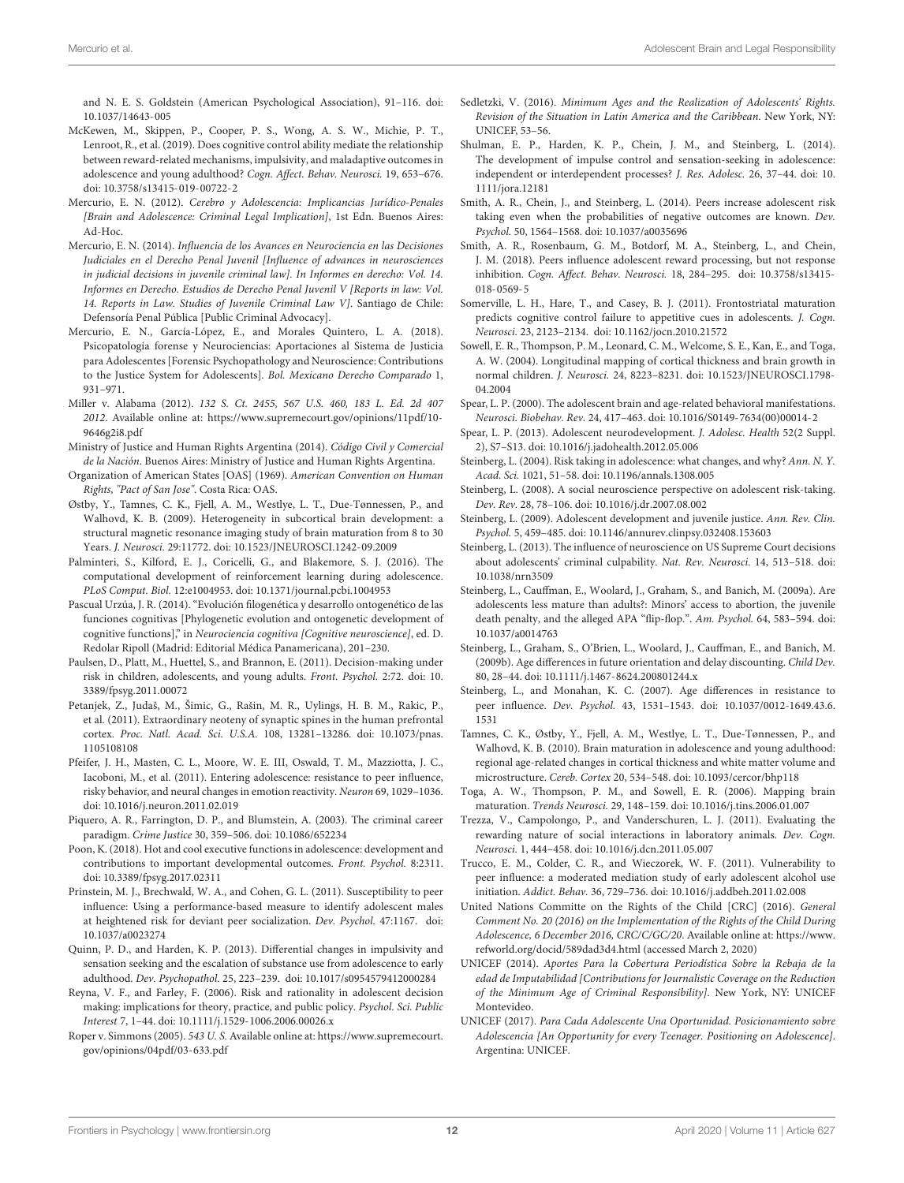and N. E. S. Goldstein (American Psychological Association), 91–116. [doi:](https://doi.org/10.1037/14643-005) [10.1037/14643-005](https://doi.org/10.1037/14643-005)

- <span id="page-11-19"></span>McKewen, M., Skippen, P., Cooper, P. S., Wong, A. S. W., Michie, P. T., Lenroot, R., et al. (2019). Does cognitive control ability mediate the relationship between reward-related mechanisms, impulsivity, and maladaptive outcomes in adolescence and young adulthood? Cogn. Affect. Behav. Neurosci. 19, 653–676. [doi: 10.3758/s13415-019-00722-2](https://doi.org/10.3758/s13415-019-00722-2)
- <span id="page-11-3"></span>Mercurio, E. N. (2012). Cerebro y Adolescencia: Implicancias Jurídico-Penales [Brain and Adolescence: Criminal Legal Implication], 1st Edn. Buenos Aires: Ad-Hoc.
- <span id="page-11-37"></span>Mercurio, E. N. (2014). Influencia de los Avances en Neurociencia en las Decisiones Judiciales en el Derecho Penal Juvenil [Influence of advances in neurosciences in judicial decisions in juvenile criminal law]. In Informes en derecho: Vol. 14. Informes en Derecho. Estudios de Derecho Penal Juvenil V [Reports in law: Vol. 14. Reports in Law. Studies of Juvenile Criminal Law V]. Santiago de Chile: Defensoría Penal Pública [Public Criminal Advocacy].
- <span id="page-11-40"></span>Mercurio, E. N., García-López, E., and Morales Quintero, L. A. (2018). Psicopatología forense y Neurociencias: Aportaciones al Sistema de Justicia para Adolescentes [Forensic Psychopathology and Neuroscience: Contributions to the Justice System for Adolescents]. Bol. Mexicano Derecho Comparado 1, 931–971.
- <span id="page-11-6"></span>Miller v. Alabama (2012). 132 S. Ct. 2455, 567 U.S. 460, 183 L. Ed. 2d 407 2012. Available online at: [https://www.supremecourt.gov/opinions/11pdf/10-](https://www.supremecourt.gov/opinions/11pdf/10-9646g2i8.pdf) [9646g2i8.pdf](https://www.supremecourt.gov/opinions/11pdf/10-9646g2i8.pdf)
- <span id="page-11-32"></span>Ministry of Justice and Human Rights Argentina (2014). Código Civil y Comercial de la Nación. Buenos Aires: Ministry of Justice and Human Rights Argentina.
- <span id="page-11-31"></span>Organization of American States [OAS] (1969). American Convention on Human Rights, "Pact of San Jose". Costa Rica: OAS.
- <span id="page-11-9"></span>Østby, Y., Tamnes, C. K., Fjell, A. M., Westlye, L. T., Due-Tønnessen, P., and Walhovd, K. B. (2009). Heterogeneity in subcortical brain development: a structural magnetic resonance imaging study of brain maturation from 8 to 30 Years. J. Neurosci. 29:11772. [doi: 10.1523/JNEUROSCI.1242-09.2009](https://doi.org/10.1523/JNEUROSCI.1242-09.2009)
- <span id="page-11-18"></span>Palminteri, S., Kilford, E. J., Coricelli, G., and Blakemore, S. J. (2016). The computational development of reinforcement learning during adolescence. PLoS Comput. Biol. 12:e1004953. [doi: 10.1371/journal.pcbi.1004953](https://doi.org/10.1371/journal.pcbi.1004953)
- <span id="page-11-7"></span>Pascual Urzúa, J. R. (2014). "Evolución filogenética y desarrollo ontogenético de las funciones cognitivas [Phylogenetic evolution and ontogenetic development of cognitive functions]," in Neurociencia cognitiva [Cognitive neuroscience], ed. D. Redolar Ripoll (Madrid: Editorial Médica Panamericana), 201–230.
- <span id="page-11-36"></span>Paulsen, D., Platt, M., Huettel, S., and Brannon, E. (2011). Decision-making under risk in children, adolescents, and young adults. Front. Psychol. 2:72. [doi: 10.](https://doi.org/10.3389/fpsyg.2011.00072) [3389/fpsyg.2011.00072](https://doi.org/10.3389/fpsyg.2011.00072)
- <span id="page-11-8"></span>Petanjek, Z., Judaš, M., Šimic, G., Rašin, M. R., Uylings, H. B. M., Rakic, P., et al. (2011). Extraordinary neoteny of synaptic spines in the human prefrontal cortex. Proc. Natl. Acad. Sci. U.S.A. 108, 13281–13286. [doi: 10.1073/pnas.](https://doi.org/10.1073/pnas.1105108108) [1105108108](https://doi.org/10.1073/pnas.1105108108)
- <span id="page-11-12"></span>Pfeifer, J. H., Masten, C. L., Moore, W. E. III, Oswald, T. M., Mazziotta, J. C., Iacoboni, M., et al. (2011). Entering adolescence: resistance to peer influence, risky behavior, and neural changes in emotion reactivity. Neuron 69, 1029–1036. [doi: 10.1016/j.neuron.2011.02.019](https://doi.org/10.1016/j.neuron.2011.02.019)
- <span id="page-11-38"></span>Piquero, A. R., Farrington, D. P., and Blumstein, A. (2003). The criminal career paradigm. Crime Justice 30, 359–506. [doi: 10.1086/652234](https://doi.org/10.1086/652234)
- <span id="page-11-30"></span>Poon, K. (2018). Hot and cool executive functions in adolescence: development and contributions to important developmental outcomes. Front. Psychol. 8:2311. [doi: 10.3389/fpsyg.2017.02311](https://doi.org/10.3389/fpsyg.2017.02311)
- <span id="page-11-20"></span>Prinstein, M. J., Brechwald, W. A., and Cohen, G. L. (2011). Susceptibility to peer influence: Using a performance-based measure to identify adolescent males at heightened risk for deviant peer socialization. Dev. Psychol. 47:1167. [doi:](https://doi.org/10.1037/a0023274) [10.1037/a0023274](https://doi.org/10.1037/a0023274)
- <span id="page-11-16"></span>Quinn, P. D., and Harden, K. P. (2013). Differential changes in impulsivity and sensation seeking and the escalation of substance use from adolescence to early adulthood. Dev. Psychopathol. 25, 223–239. [doi: 10.1017/s0954579412000284](https://doi.org/10.1017/s0954579412000284)
- <span id="page-11-39"></span>Reyna, V. F., and Farley, F. (2006). Risk and rationality in adolescent decision making: implications for theory, practice, and public policy. Psychol. Sci. Public Interest 7, 1–44. [doi: 10.1111/j.1529-1006.2006.00026.x](https://doi.org/10.1111/j.1529-1006.2006.00026.x)
- <span id="page-11-5"></span>Roper v. Simmons (2005). 543 U. S. Available online at: [https://www.supremecourt.](https://www.supremecourt.gov/opinions/04pdf/03-633.pdf) [gov/opinions/04pdf/03-633.pdf](https://www.supremecourt.gov/opinions/04pdf/03-633.pdf)
- <span id="page-11-33"></span>Sedletzki, V. (2016). Minimum Ages and the Realization of Adolescents' Rights. Revision of the Situation in Latin America and the Caribbean. New York, NY: UNICEF, 53–56.
- <span id="page-11-17"></span>Shulman, E. P., Harden, K. P., Chein, J. M., and Steinberg, L. (2014). The development of impulse control and sensation-seeking in adolescence: independent or interdependent processes? J. Res. Adolesc. 26, 37–44. [doi: 10.](https://doi.org/10.1111/jora.12181) [1111/jora.12181](https://doi.org/10.1111/jora.12181)
- <span id="page-11-21"></span>Smith, A. R., Chein, J., and Steinberg, L. (2014). Peers increase adolescent risk taking even when the probabilities of negative outcomes are known. Dev. Psychol. 50, 1564–1568. [doi: 10.1037/a0035696](https://doi.org/10.1037/a0035696)
- <span id="page-11-23"></span>Smith, A. R., Rosenbaum, G. M., Botdorf, M. A., Steinberg, L., and Chein, J. M. (2018). Peers influence adolescent reward processing, but not response inhibition. Cogn. Affect. Behav. Neurosci. 18, 284–295. [doi: 10.3758/s13415-](https://doi.org/10.3758/s13415-018-0569-5) [018-0569-5](https://doi.org/10.3758/s13415-018-0569-5)
- <span id="page-11-22"></span>Somerville, L. H., Hare, T., and Casey, B. J. (2011). Frontostriatal maturation predicts cognitive control failure to appetitive cues in adolescents. J. Cogn. Neurosci. 23, 2123–2134. [doi: 10.1162/jocn.2010.21572](https://doi.org/10.1162/jocn.2010.21572)
- <span id="page-11-28"></span>Sowell, E. R., Thompson, P. M., Leonard, C. M., Welcome, S. E., Kan, E., and Toga, A. W. (2004). Longitudinal mapping of cortical thickness and brain growth in normal children. J. Neurosci. 24, 8223–8231. [doi: 10.1523/JNEUROSCI.1798-](https://doi.org/10.1523/JNEUROSCI.1798-04.2004) [04.2004](https://doi.org/10.1523/JNEUROSCI.1798-04.2004)
- <span id="page-11-24"></span>Spear, L. P. (2000). The adolescent brain and age-related behavioral manifestations. Neurosci. Biobehav. Rev. 24, 417–463. [doi: 10.1016/S0149-7634\(00\)00014-2](https://doi.org/10.1016/S0149-7634(00)00014-2)
- <span id="page-11-27"></span>Spear, L. P. (2013). Adolescent neurodevelopment. J. Adolesc. Health 52(2 Suppl. 2), S7–S13. [doi: 10.1016/j.jadohealth.2012.05.006](https://doi.org/10.1016/j.jadohealth.2012.05.006)
- <span id="page-11-11"></span>Steinberg, L. (2004). Risk taking in adolescence: what changes, and why? Ann. N. Y. Acad. Sci. 1021, 51–58. [doi: 10.1196/annals.1308.005](https://doi.org/10.1196/annals.1308.005)
- <span id="page-11-13"></span>Steinberg, L. (2008). A social neuroscience perspective on adolescent risk-taking. Dev. Rev. 28, 78–106. [doi: 10.1016/j.dr.2007.08.002](https://doi.org/10.1016/j.dr.2007.08.002)
- <span id="page-11-34"></span>Steinberg, L. (2009). Adolescent development and juvenile justice. Ann. Rev. Clin. Psychol. 5, 459–485. [doi: 10.1146/annurev.clinpsy.032408.153603](https://doi.org/10.1146/annurev.clinpsy.032408.153603)
- <span id="page-11-4"></span>Steinberg, L. (2013). The influence of neuroscience on US Supreme Court decisions about adolescents' criminal culpability. Nat. Rev. Neurosci. 14, 513–518. [doi:](https://doi.org/10.1038/nrn3509) [10.1038/nrn3509](https://doi.org/10.1038/nrn3509)
- <span id="page-11-14"></span>Steinberg, L., Cauffman, E., Woolard, J., Graham, S., and Banich, M. (2009a). Are adolescents less mature than adults?: Minors' access to abortion, the juvenile death penalty, and the alleged APA "flip-flop.". Am. Psychol. 64, 583–594. [doi:](https://doi.org/10.1037/a0014763) [10.1037/a0014763](https://doi.org/10.1037/a0014763)
- <span id="page-11-15"></span>Steinberg, L., Graham, S., O'Brien, L., Woolard, J., Cauffman, E., and Banich, M. (2009b). Age differences in future orientation and delay discounting. Child Dev. 80, 28–44. [doi: 10.1111/j.1467-8624.200801244.x](https://doi.org/10.1111/j.1467-8624.200801244.x)
- <span id="page-11-35"></span>Steinberg, L., and Monahan, K. C. (2007). Age differences in resistance to peer influence. Dev. Psychol. 43, 1531–1543. [doi: 10.1037/0012-1649.43.6.](https://doi.org/10.1037/0012-1649.43.6.1531) [1531](https://doi.org/10.1037/0012-1649.43.6.1531)
- <span id="page-11-10"></span>Tamnes, C. K., Østby, Y., Fjell, A. M., Westlye, L. T., Due-Tønnessen, P., and Walhovd, K. B. (2010). Brain maturation in adolescence and young adulthood: regional age-related changes in cortical thickness and white matter volume and microstructure. Cereb. Cortex 20, 534–548. [doi: 10.1093/cercor/bhp118](https://doi.org/10.1093/cercor/bhp118)
- <span id="page-11-29"></span>Toga, A. W., Thompson, P. M., and Sowell, E. R. (2006). Mapping brain maturation. Trends Neurosci. 29, 148–159. [doi: 10.1016/j.tins.2006.01.007](https://doi.org/10.1016/j.tins.2006.01.007)
- <span id="page-11-26"></span>Trezza, V., Campolongo, P., and Vanderschuren, L. J. (2011). Evaluating the rewarding nature of social interactions in laboratory animals. Dev. Cogn. Neurosci. 1, 444–458. [doi: 10.1016/j.dcn.2011.05.007](https://doi.org/10.1016/j.dcn.2011.05.007)
- <span id="page-11-25"></span>Trucco, E. M., Colder, C. R., and Wieczorek, W. F. (2011). Vulnerability to peer influence: a moderated mediation study of early adolescent alcohol use initiation. Addict. Behav. 36, 729–736. [doi: 10.1016/j.addbeh.2011.02.008](https://doi.org/10.1016/j.addbeh.2011.02.008)
- <span id="page-11-0"></span>United Nations Committe on the Rights of the Child [CRC] (2016). General Comment No. 20 (2016) on the Implementation of the Rights of the Child During Adolescence, 6 December 2016, CRC/C/GC/20. Available online at: [https://www.](https://www.refworld.org/docid/589dad3d4.html) [refworld.org/docid/589dad3d4.html](https://www.refworld.org/docid/589dad3d4.html) (accessed March 2, 2020)
- <span id="page-11-2"></span>UNICEF (2014). Aportes Para la Cobertura Periodística Sobre la Rebaja de la edad de Imputabilidad [Contributions for Journalistic Coverage on the Reduction of the Minimum Age of Criminal Responsibility]. New York, NY: UNICEF Montevideo.
- <span id="page-11-1"></span>UNICEF (2017). Para Cada Adolescente Una Oportunidad. Posicionamiento sobre Adolescencia [An Opportunity for every Teenager. Positioning on Adolescence]. Argentina: UNICEF.